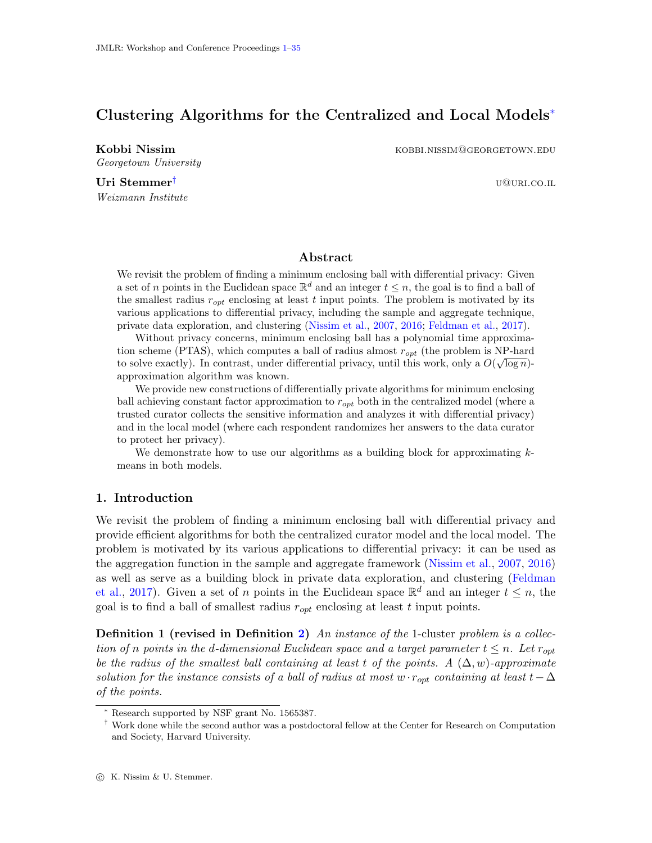# <span id="page-0-0"></span>Clustering Algorithms for the Centralized and Local Models<sup>∗</sup>

Georgetown University

Kobbi Nissim **Kobbi Nissim kobbi Nissim kobbi.nissim@georgetown**.edu

Uri Stemmer<sup>†</sup> u@u<sub>RI.CO.IL</sub> u@uri.co.il Weizmann Institute

# Abstract

We revisit the problem of finding a minimum enclosing ball with differential privacy: Given a set of n points in the Euclidean space  $\mathbb{R}^d$  and an integer  $t \leq n$ , the goal is to find a ball of the smallest radius  $r_{opt}$  enclosing at least t input points. The problem is motivated by its various applications to differential privacy, including the sample and aggregate technique, private data exploration, and clustering [\(Nissim et al.,](#page-13-0) [2007,](#page-13-0) [2016;](#page-14-0) [Feldman et al.,](#page-13-1) [2017\)](#page-13-1).

Without privacy concerns, minimum enclosing ball has a polynomial time approximation scheme (PTAS), which computes a ball of radius almost  $r_{opt}$  (the problem is NP-hard to solve exactly). In contrast, under differential privacy, until this work, only a  $O(\sqrt{\log n})$ approximation algorithm was known.

We provide new constructions of differentially private algorithms for minimum enclosing ball achieving constant factor approximation to  $r_{opt}$  both in the centralized model (where a trusted curator collects the sensitive information and analyzes it with differential privacy) and in the local model (where each respondent randomizes her answers to the data curator to protect her privacy).

We demonstrate how to use our algorithms as a building block for approximating  $k$ means in both models.

# 1. Introduction

We revisit the problem of finding a minimum enclosing ball with differential privacy and provide efficient algorithms for both the centralized curator model and the local model. The problem is motivated by its various applications to differential privacy: it can be used as the aggregation function in the sample and aggregate framework [\(Nissim et al.,](#page-13-0) [2007,](#page-13-0) [2016\)](#page-14-0) as well as serve as a building block in private data exploration, and clustering [\(Feldman](#page-13-1) [et al.,](#page-13-1) [2017\)](#page-13-1). Given a set of n points in the Euclidean space  $\mathbb{R}^d$  and an integer  $t \leq n$ , the goal is to find a ball of smallest radius  $r_{opt}$  enclosing at least t input points.

**Definition 1 (revised in Definition [2\)](#page-3-0)** An instance of the 1-cluster problem is a collection of n points in the d-dimensional Euclidean space and a target parameter  $t \leq n$ . Let  $r_{opt}$ be the radius of the smallest ball containing at least t of the points. A  $(\Delta, w)$ -approximate solution for the instance consists of a ball of radius at most  $w \cdot r_{opt}$  containing at least  $t-\Delta$ of the points.

Research supported by NSF grant No. 1565387.

<sup>†</sup> Work done while the second author was a postdoctoral fellow at the Center for Research on Computation and Society, Harvard University.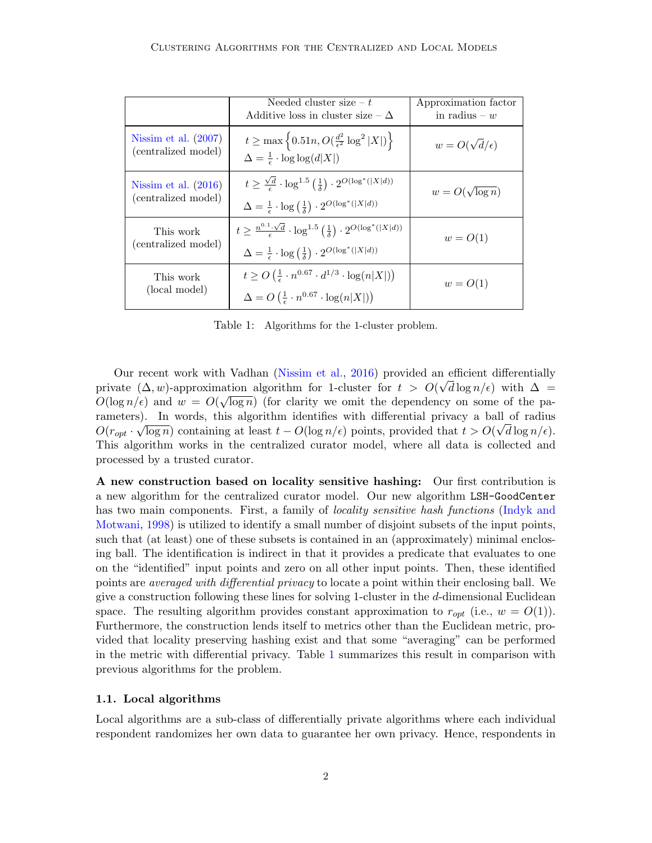|                                               | Needed cluster size $-t$<br>Additive loss in cluster size $-\Delta$                                                                                                                                        | Approximation factor<br>in radius $-w$ |
|-----------------------------------------------|------------------------------------------------------------------------------------------------------------------------------------------------------------------------------------------------------------|----------------------------------------|
| Nissim et al. $(2007)$<br>(centralized model) | $t \ge \max \left\{ 0.51n, O(\frac{d^2}{\epsilon^2} \log^2  X ) \right\}$<br>$\Delta = \frac{1}{\epsilon} \cdot \log \log (d X )$                                                                          | $w = O(\sqrt{d}/\epsilon)$             |
| Nissim et al. $(2016)$<br>(centralized model) | $t \geq \frac{\sqrt{d}}{6} \cdot \log^{1.5}\left(\frac{1}{\bar{x}}\right) \cdot 2^{O(\log^*( X d))}$<br>$\Delta = \frac{1}{\epsilon} \cdot \log\left(\frac{1}{\delta}\right) \cdot 2^{O(\log^*( X d))}$    | $w = O(\sqrt{\log n})$                 |
| This work<br>(centralized model)              | $t \geq \frac{n^{0.1} \cdot \sqrt{d}}{2} \cdot \log^{1.5}(\frac{1}{\bar{x}}) \cdot 2^{O(\log^*( X d))}$<br>$\Delta = \frac{1}{\epsilon} \cdot \log\left(\frac{1}{\delta}\right) \cdot 2^{O(\log^*( X d))}$ | $w = O(1)$                             |
| This work<br>(local model)                    | $t \geq O\left(\frac{1}{\epsilon} \cdot n^{0.67} \cdot d^{1/3} \cdot \log(n X )\right)$<br>$\Delta = O\left(\frac{1}{\epsilon} \cdot n^{0.67} \cdot \log(n X )\right)$                                     | $w = O(1)$                             |

<span id="page-1-0"></span>Table 1: Algorithms for the 1-cluster problem.

Our recent work with Vadhan [\(Nissim et al.,](#page-14-0) [2016\)](#page-14-0) provided an efficient differentially private  $(\Delta, w)$ -approximation algorithm for 1-cluster for  $t > O(\sqrt{d \log n/\epsilon})$  with  $\Delta =$  $O(\log n/\epsilon)$  and  $w = O(\sqrt{\log n})$  (for clarity we omit the dependency on some of the parameters). In words, this algorithm identifies with differential privacy a ball of radius  $\sim$  $O(r_{opt} \cdot \sqrt{\log n})$  containing at least  $t - O(\log n/\epsilon)$  points, provided that  $t > O(\sqrt{d \log n/\epsilon})$ . This algorithm works in the centralized curator model, where all data is collected and processed by a trusted curator.

A new construction based on locality sensitive hashing: Our first contribution is a new algorithm for the centralized curator model. Our new algorithm LSH-GoodCenter has two main components. First, a family of *locality sensitive hash functions* [\(Indyk and](#page-13-2) [Motwani,](#page-13-2) [1998\)](#page-13-2) is utilized to identify a small number of disjoint subsets of the input points, such that (at least) one of these subsets is contained in an (approximately) minimal enclosing ball. The identification is indirect in that it provides a predicate that evaluates to one on the "identified" input points and zero on all other input points. Then, these identified points are averaged with differential privacy to locate a point within their enclosing ball. We give a construction following these lines for solving 1-cluster in the d-dimensional Euclidean space. The resulting algorithm provides constant approximation to  $r_{opt}$  (i.e.,  $w = O(1)$ ). Furthermore, the construction lends itself to metrics other than the Euclidean metric, provided that locality preserving hashing exist and that some "averaging" can be performed in the metric with differential privacy. Table [1](#page-1-0) summarizes this result in comparison with previous algorithms for the problem.

#### 1.1. Local algorithms

Local algorithms are a sub-class of differentially private algorithms where each individual respondent randomizes her own data to guarantee her own privacy. Hence, respondents in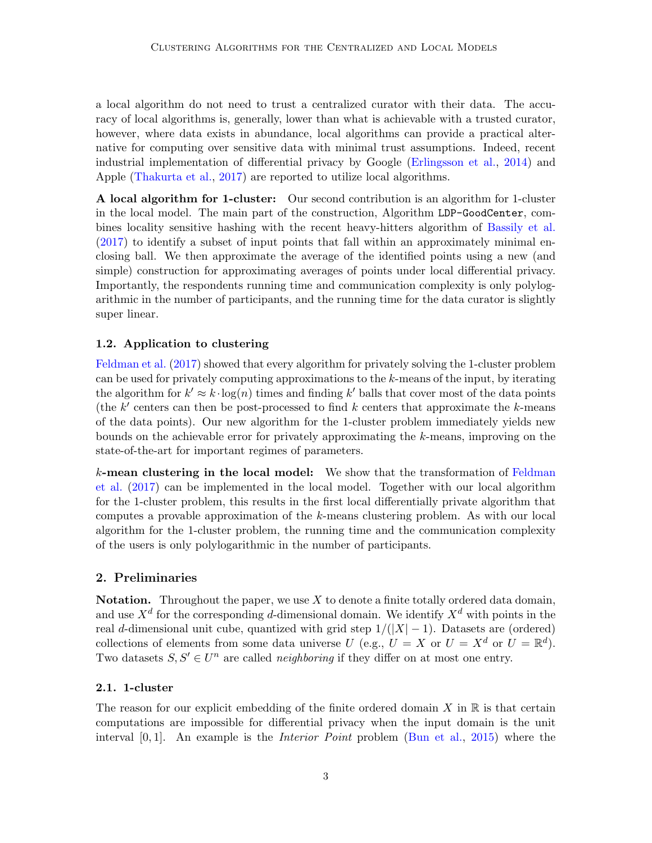a local algorithm do not need to trust a centralized curator with their data. The accuracy of local algorithms is, generally, lower than what is achievable with a trusted curator, however, where data exists in abundance, local algorithms can provide a practical alternative for computing over sensitive data with minimal trust assumptions. Indeed, recent industrial implementation of differential privacy by Google [\(Erlingsson et al.,](#page-13-3) [2014\)](#page-13-3) and Apple [\(Thakurta et al.,](#page-14-1) [2017\)](#page-14-1) are reported to utilize local algorithms.

A local algorithm for 1-cluster: Our second contribution is an algorithm for 1-cluster in the local model. The main part of the construction, Algorithm LDP-GoodCenter, combines locality sensitive hashing with the recent heavy-hitters algorithm of [Bassily et al.](#page-12-0) [\(2017\)](#page-12-0) to identify a subset of input points that fall within an approximately minimal enclosing ball. We then approximate the average of the identified points using a new (and simple) construction for approximating averages of points under local differential privacy. Importantly, the respondents running time and communication complexity is only polylogarithmic in the number of participants, and the running time for the data curator is slightly super linear.

## 1.2. Application to clustering

[Feldman et al.](#page-13-1) [\(2017\)](#page-13-1) showed that every algorithm for privately solving the 1-cluster problem can be used for privately computing approximations to the k-means of the input, by iterating the algorithm for  $k' \approx k \cdot \log(n)$  times and finding k' balls that cover most of the data points (the  $k'$  centers can then be post-processed to find  $k$  centers that approximate the  $k$ -means of the data points). Our new algorithm for the 1-cluster problem immediately yields new bounds on the achievable error for privately approximating the k-means, improving on the state-of-the-art for important regimes of parameters.

k-mean clustering in the local model: We show that the transformation of [Feldman](#page-13-1) [et al.](#page-13-1) [\(2017\)](#page-13-1) can be implemented in the local model. Together with our local algorithm for the 1-cluster problem, this results in the first local differentially private algorithm that computes a provable approximation of the k-means clustering problem. As with our local algorithm for the 1-cluster problem, the running time and the communication complexity of the users is only polylogarithmic in the number of participants.

## 2. Preliminaries

**Notation.** Throughout the paper, we use  $X$  to denote a finite totally ordered data domain, and use  $X^d$  for the corresponding d-dimensional domain. We identify  $X^d$  with points in the real d-dimensional unit cube, quantized with grid step  $1/(|X|-1)$ . Datasets are (ordered) collections of elements from some data universe U (e.g.,  $U = X$  or  $U = X^d$  or  $U = \mathbb{R}^d$ ). Two datasets  $S, S' \in U^n$  are called *neighboring* if they differ on at most one entry.

### 2.1. 1-cluster

The reason for our explicit embedding of the finite ordered domain  $X$  in  $\mathbb R$  is that certain computations are impossible for differential privacy when the input domain is the unit interval [0, 1]. An example is the Interior Point problem [\(Bun et al.,](#page-12-1) [2015\)](#page-12-1) where the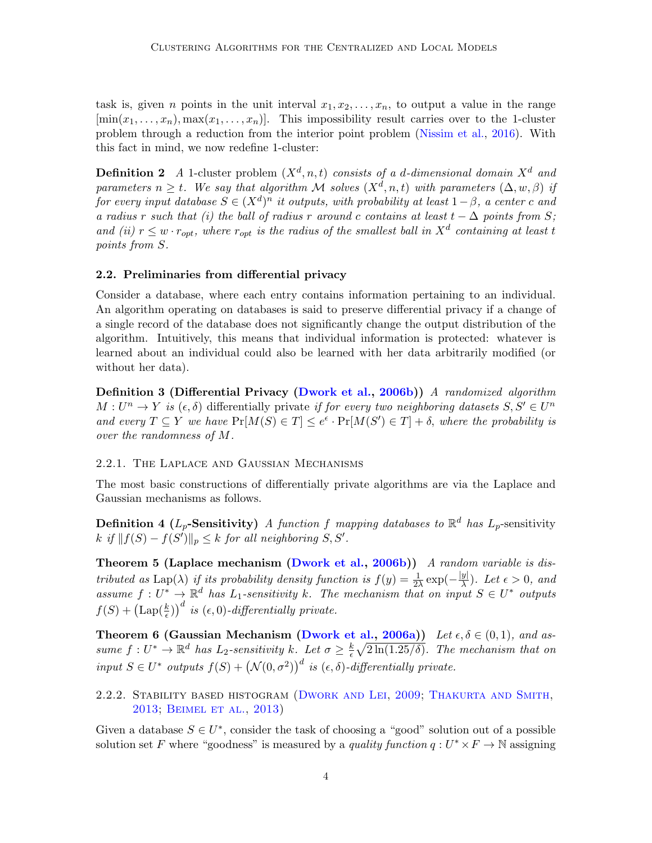task is, given *n* points in the unit interval  $x_1, x_2, \ldots, x_n$ , to output a value in the range  $[\min(x_1, \ldots, x_n), \max(x_1, \ldots, x_n)]$ . This impossibility result carries over to the 1-cluster problem through a reduction from the interior point problem [\(Nissim et al.,](#page-14-0) [2016\)](#page-14-0). With this fact in mind, we now redefine 1-cluster:

<span id="page-3-0"></span>**Definition 2** A 1-cluster problem  $(X^d, n, t)$  consists of a d-dimensional domain  $X^d$  and parameters  $n \geq t$ . We say that algorithm M solves  $(X^d, n, t)$  with parameters  $(\Delta, w, \beta)$  if for every input database  $S \in (X^d)^n$  it outputs, with probability at least  $1-\beta$ , a center c and a radius r such that (i) the ball of radius r around c contains at least  $t - \Delta$  points from S; and (ii)  $r \leq w \cdot r_{opt}$ , where  $r_{opt}$  is the radius of the smallest ball in  $X<sup>d</sup>$  containing at least t points from S.

## 2.2. Preliminaries from differential privacy

Consider a database, where each entry contains information pertaining to an individual. An algorithm operating on databases is said to preserve differential privacy if a change of a single record of the database does not significantly change the output distribution of the algorithm. Intuitively, this means that individual information is protected: whatever is learned about an individual could also be learned with her data arbitrarily modified (or without her data).

Definition 3 (Differential Privacy [\(Dwork et al.,](#page-12-2) [2006b\)](#page-12-2)) A randomized algorithm  $M: U^n \to Y$  is  $(\epsilon, \delta)$  differentially private if for every two neighboring datasets  $S, S' \in U^n$ and every  $T \subseteq Y$  we have  $Pr[M(S) \in T] \leq e^{\epsilon} \cdot Pr[M(S') \in T] + \delta$ , where the probability is over the randomness of M.

### 2.2.1. The Laplace and Gaussian Mechanisms

The most basic constructions of differentially private algorithms are via the Laplace and Gaussian mechanisms as follows.

**Definition 4 (L<sub>p</sub>-Sensitivity)** A function f mapping databases to  $\mathbb{R}^d$  has  $L_p$ -sensitivity k if  $||f(S) - f(S')||_p \leq k$  for all neighboring  $S, S'$ .

Theorem 5 (Laplace mechanism [\(Dwork et al.,](#page-12-2) [2006b\)](#page-12-2)) A random variable is distributed as Lap( $\lambda$ ) if its probability density function is  $f(y) = \frac{1}{2\lambda} \exp(-\frac{|y|}{\lambda})$  $\frac{y_1}{\lambda}$ ). Let  $\epsilon > 0$ , and assume  $f: U^* \to \mathbb{R}^d$  has  $L_1$ -sensitivity k. The mechanism that on input  $S \in U^*$  outputs  $f(S) + (\text{Lap}(\frac{k}{\epsilon}))^d$  is  $(\epsilon, 0)$ -differentially private.

Theorem 6 (Gaussian Mechanism [\(Dwork et al.,](#page-12-3) [2006a\)](#page-12-3)) Let  $\epsilon, \delta \in (0,1)$ , and assume  $f: U^* \to \mathbb{R}^d$  has  $L_2$ -sensitivity k. Let  $\sigma \geq \frac{k}{\epsilon}$  $\frac{k}{\epsilon}\sqrt{2\ln(1.25/\delta)}$ . The mechanism that on input  $S \in U^*$  outputs  $f(S) + (\mathcal{N}(0, \sigma^2))^d$  is  $(\epsilon, \delta)$ -differentially private.

2.2.2. Stability based histogram [\(Dwork and Lei,](#page-12-4) [2009;](#page-12-4) [Thakurta and Smith,](#page-14-2) [2013;](#page-14-2) [Beimel et al.,](#page-12-5) [2013\)](#page-12-5)

Given a database  $S \in U^*$ , consider the task of choosing a "good" solution out of a possible solution set F where "goodness" is measured by a *quality function*  $q: U^* \times F \to \mathbb{N}$  assigning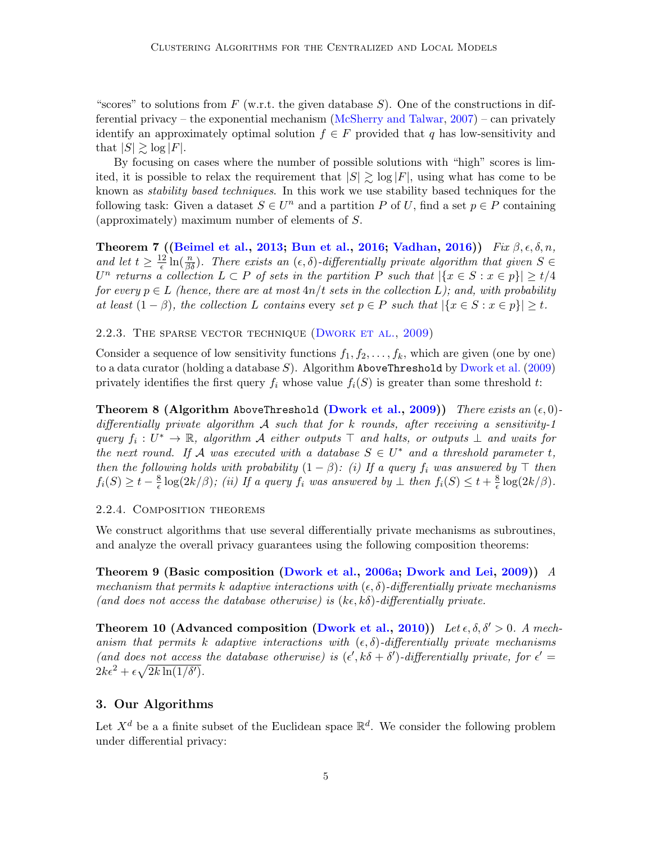"scores" to solutions from  $F$  (w.r.t. the given database  $S$ ). One of the constructions in differential privacy – the exponential mechanism [\(McSherry and Talwar,](#page-13-4) [2007\)](#page-13-4) – can privately identify an approximately optimal solution  $f \in F$  provided that q has low-sensitivity and that  $|S| \geq \log |F|$ .

By focusing on cases where the number of possible solutions with "high" scores is limited, it is possible to relax the requirement that  $|S| \gtrsim \log |F|$ , using what has come to be known as stability based techniques. In this work we use stability based techniques for the following task: Given a dataset  $S \in U^n$  and a partition P of U, find a set  $p \in P$  containing (approximately) maximum number of elements of S.

<span id="page-4-0"></span>Theorem 7 ([\(Beimel et al.,](#page-12-5) [2013;](#page-12-5) [Bun et al.,](#page-12-6) [2016;](#page-12-6) [Vadhan,](#page-14-3) [2016\)](#page-14-3)) Fix  $\beta$ ,  $\epsilon$ ,  $\delta$ , n, and let  $t \geq \frac{12}{\epsilon}$  $\frac{d^2}{d\epsilon} \ln(\frac{n}{\beta \delta})$ . There exists an  $(\epsilon, \delta)$ -differentially private algorithm that given  $S \in$  $U^n$  returns a collection  $L \subset P$  of sets in the partition P such that  $|\{x \in S : x \in p\}| \ge t/4$ for every  $p \in L$  (hence, there are at most  $4n/t$  sets in the collection L); and, with probability at least  $(1 - \beta)$ , the collection L contains every set  $p \in P$  such that  $|\{x \in S : x \in p\}| \ge t$ .

2.2.3. THE SPARSE VECTOR TECHNIQUE (DWORK ET AL., [2009\)](#page-13-5)

Consider a sequence of low sensitivity functions  $f_1, f_2, \ldots, f_k$ , which are given (one by one) to a data curator (holding a database  $S$ ). Algorithm AboveThreshold by [Dwork et al.](#page-13-5) [\(2009\)](#page-13-5) privately identifies the first query  $f_i$  whose value  $f_i(S)$  is greater than some threshold t:

<span id="page-4-1"></span>**Theorem 8 (Algorithm AboveThreshold [\(Dwork et al.,](#page-13-5) [2009\)](#page-13-5))** There exists an  $(\epsilon, 0)$ differentially private algorithm  $\mathcal A$  such that for k rounds, after receiving a sensitivity-1 query  $f_i: U^* \to \mathbb{R}$ , algorithm A either outputs  $\top$  and halts, or outputs  $\bot$  and waits for the next round. If A was executed with a database  $S \in U^*$  and a threshold parameter t, then the following holds with probability  $(1 - \beta)$ : (i) If a query  $f_i$  was answered by  $\top$  then  $f_i(S) \geq t - \frac{8}{\epsilon}$  $\frac{8}{\epsilon}$  log(2k/ $\beta$ ); (ii) If a query  $f_i$  was answered by  $\bot$  then  $f_i(S) \leq t + \frac{8}{\epsilon}$  $\frac{8}{\epsilon} \log(2k/\beta)$ .

### <span id="page-4-3"></span>2.2.4. Composition theorems

We construct algorithms that use several differentially private mechanisms as subroutines, and analyze the overall privacy guarantees using the following composition theorems:

<span id="page-4-5"></span>Theorem 9 (Basic composition [\(Dwork et al.,](#page-12-3) [2006a;](#page-12-3) [Dwork and Lei,](#page-12-4) [2009\)](#page-12-4)) A mechanism that permits k adaptive interactions with  $(\epsilon, \delta)$ -differentially private mechanisms (and does not access the database otherwise) is  $(k \epsilon, k \delta)$ -differentially private.

<span id="page-4-4"></span>Theorem 10 (Advanced composition [\(Dwork et al.,](#page-13-6) [2010\)](#page-13-6)) Let  $\epsilon, \delta, \delta' > 0$ . A mechanism that permits k adaptive interactions with  $(\epsilon, \delta)$ -differentially private mechanisms (and does not access the database otherwise) is  $(\epsilon', k\delta + \delta')$ -differentially private, for  $\epsilon' =$  $2k\epsilon^2 + \epsilon\sqrt{2k\ln(1/\delta')}$ .

## <span id="page-4-2"></span>3. Our Algorithms

Let  $X^d$  be a a finite subset of the Euclidean space  $\mathbb{R}^d$ . We consider the following problem under differential privacy: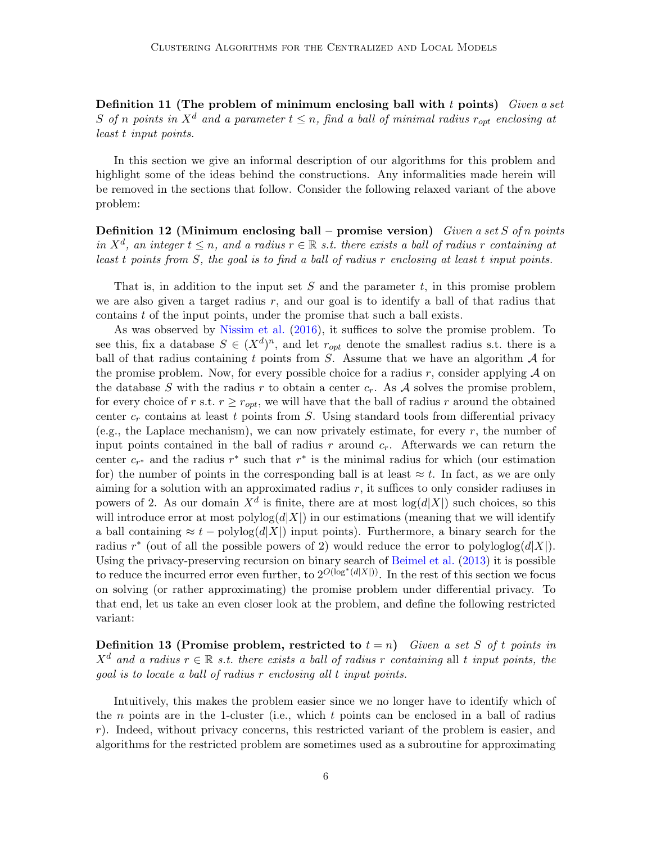Definition 11 (The problem of minimum enclosing ball with  $t$  points) Given a set S of n points in  $X^d$  and a parameter  $t \leq n$ , find a ball of minimal radius  $r_{opt}$  enclosing at least t input points.

In this section we give an informal description of our algorithms for this problem and highlight some of the ideas behind the constructions. Any informalities made herein will be removed in the sections that follow. Consider the following relaxed variant of the above problem:

<span id="page-5-0"></span>**Definition 12 (Minimum enclosing ball – promise version)** Given a set S of n points in  $X^d$ , an integer  $t \leq n$ , and a radius  $r \in \mathbb{R}$  s.t. there exists a ball of radius r containing at least t points from S, the goal is to find a ball of radius r enclosing at least t input points.

That is, in addition to the input set  $S$  and the parameter  $t$ , in this promise problem we are also given a target radius  $r$ , and our goal is to identify a ball of that radius that contains  $t$  of the input points, under the promise that such a ball exists.

As was observed by [Nissim et al.](#page-14-0) [\(2016\)](#page-14-0), it suffices to solve the promise problem. To see this, fix a database  $S \in (X^d)^n$ , and let  $r_{opt}$  denote the smallest radius s.t. there is a ball of that radius containing t points from  $S$ . Assume that we have an algorithm  $A$  for the promise problem. Now, for every possible choice for a radius r, consider applying  $\mathcal A$  on the database S with the radius r to obtain a center  $c_r$ . As A solves the promise problem, for every choice of r s.t.  $r \geq r_{opt}$ , we will have that the ball of radius r around the obtained center  $c_r$  contains at least t points from S. Using standard tools from differential privacy (e.g., the Laplace mechanism), we can now privately estimate, for every  $r$ , the number of input points contained in the ball of radius r around  $c_r$ . Afterwards we can return the center  $c_{r^*}$  and the radius  $r^*$  such that  $r^*$  is the minimal radius for which (our estimation for) the number of points in the corresponding ball is at least  $\approx t$ . In fact, as we are only aiming for a solution with an approximated radius  $r$ , it suffices to only consider radiuses in powers of 2. As our domain  $X^d$  is finite, there are at most  $log(d|X|)$  such choices, so this will introduce error at most  $\text{polylog}(d|X|)$  in our estimations (meaning that we will identify a ball containing  $\approx t$  – polylog(d|X|) input points). Furthermore, a binary search for the radius  $r^*$  (out of all the possible powers of 2) would reduce the error to polyloglog( $d|X|$ ). Using the privacy-preserving recursion on binary search of [Beimel et al.](#page-12-5) [\(2013\)](#page-12-5) it is possible to reduce the incurred error even further, to  $2^{O(\log^*(d|X|))}$ . In the rest of this section we focus on solving (or rather approximating) the promise problem under differential privacy. To that end, let us take an even closer look at the problem, and define the following restricted variant:

<span id="page-5-1"></span>**Definition 13 (Promise problem, restricted to**  $t = n$ ) Given a set S of t points in  $X^d$  and a radius  $r \in \mathbb{R}$  s.t. there exists a ball of radius r containing all t input points, the goal is to locate a ball of radius r enclosing all t input points.

Intuitively, this makes the problem easier since we no longer have to identify which of the *n* points are in the 1-cluster (i.e., which  $t$  points can be enclosed in a ball of radius r). Indeed, without privacy concerns, this restricted variant of the problem is easier, and algorithms for the restricted problem are sometimes used as a subroutine for approximating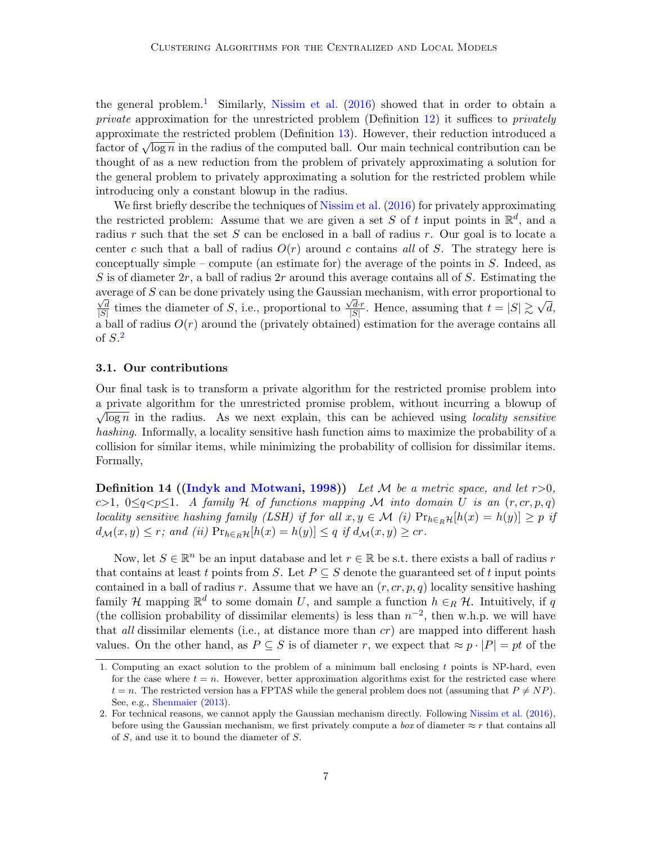the general problem.<sup>[1](#page-6-0)</sup> Similarly, [Nissim et al.](#page-14-0)  $(2016)$  showed that in order to obtain a private approximation for the unrestricted problem (Definition [12\)](#page-5-0) it suffices to privately approximate the restricted problem (Definition [13\)](#page-5-1). However, their reduction introduced a approximate the restricted problem (Definition 13). However, their reduction introduced a<br>factor of  $\sqrt{\log n}$  in the radius of the computed ball. Our main technical contribution can be thought of as a new reduction from the problem of privately approximating a solution for the general problem to privately approximating a solution for the restricted problem while introducing only a constant blowup in the radius.

We first briefly describe the techniques of [Nissim et al.](#page-14-0) [\(2016\)](#page-14-0) for privately approximating the restricted problem: Assume that we are given a set S of t input points in  $\mathbb{R}^d$ , and a radius r such that the set  $S$  can be enclosed in a ball of radius r. Our goal is to locate a center c such that a ball of radius  $O(r)$  around c contains all of S. The strategy here is conceptually simple – compute (an estimate for) the average of the points in S. Indeed, as S is of diameter  $2r$ , a ball of radius  $2r$  around this average contains all of S. Estimating the average of S can be done privately using the Gaussian mechanism, with error proportional to d  $\frac{\sqrt{d}}{|S|}$  times the diameter of S, i.e., proportional to  $\frac{\sqrt{d}r}{|S|}$  $\frac{\sqrt{d} \cdot r}{|S|}$ . Hence, assuming that  $t = |S| \gtrsim \sqrt{ }$ d, a ball of radius  $O(r)$  around the (privately obtained) estimation for the average contains all of  $S<sup>2</sup>$  $S<sup>2</sup>$  $S<sup>2</sup>$ 

## 3.1. Our contributions

Our final task is to transform a private algorithm for the restricted promise problem into a private algorithm for the unrestricted promise problem, without incurring a blowup of  $\sqrt{\log n}$  in the radius. As we next explain, this can be achieved using *locality sensitive* hashing. Informally, a locality sensitive hash function aims to maximize the probability of a collision for similar items, while minimizing the probability of collision for dissimilar items. Formally,

**Definition 14 ([\(Indyk and Motwani,](#page-13-2) [1998\)](#page-13-2))** Let M be a metric space, and let  $r > 0$ , c>1,  $0 \leq q \leq p \leq 1$ . A family H of functions mapping M into domain U is an  $(r, cr, p, q)$ locality sensitive hashing family (LSH) if for all  $x, y \in \mathcal{M}$  (i)  $Pr_{h \in_R \mathcal{H}}[h(x) = h(y)] \geq p$  if  $d_{\mathcal{M}}(x, y) \leq r$ ; and (ii)  $Pr_{h \in_R \mathcal{H}}[h(x) = h(y)] \leq q$  if  $d_{\mathcal{M}}(x, y) \geq cr$ .

Now, let  $S \in \mathbb{R}^n$  be an input database and let  $r \in \mathbb{R}$  be s.t. there exists a ball of radius r that contains at least t points from S. Let  $P \subseteq S$  denote the guaranteed set of t input points contained in a ball of radius r. Assume that we have an  $(r, cr, p, q)$  locality sensitive hashing family H mapping  $\mathbb{R}^d$  to some domain U, and sample a function  $h \in_R \mathcal{H}$ . Intuitively, if q (the collision probability of dissimilar elements) is less than  $n^{-2}$ , then w.h.p. we will have that all dissimilar elements (i.e., at distance more than  $cr$ ) are mapped into different hash values. On the other hand, as  $P \subseteq S$  is of diameter r, we expect that  $\approx p \cdot |P| = pt$  of the

<span id="page-6-0"></span><sup>1.</sup> Computing an exact solution to the problem of a minimum ball enclosing t points is NP-hard, even for the case where  $t = n$ . However, better approximation algorithms exist for the restricted case where  $t = n$ . The restricted version has a FPTAS while the general problem does not (assuming that  $P \neq NP$ ). See, e.g., [Shenmaier](#page-14-4) [\(2013\)](#page-14-4).

<span id="page-6-1"></span><sup>2.</sup> For technical reasons, we cannot apply the Gaussian mechanism directly. Following [Nissim et al.](#page-14-0) [\(2016\)](#page-14-0), before using the Gaussian mechanism, we first privately compute a box of diameter  $\approx r$  that contains all of S, and use it to bound the diameter of S.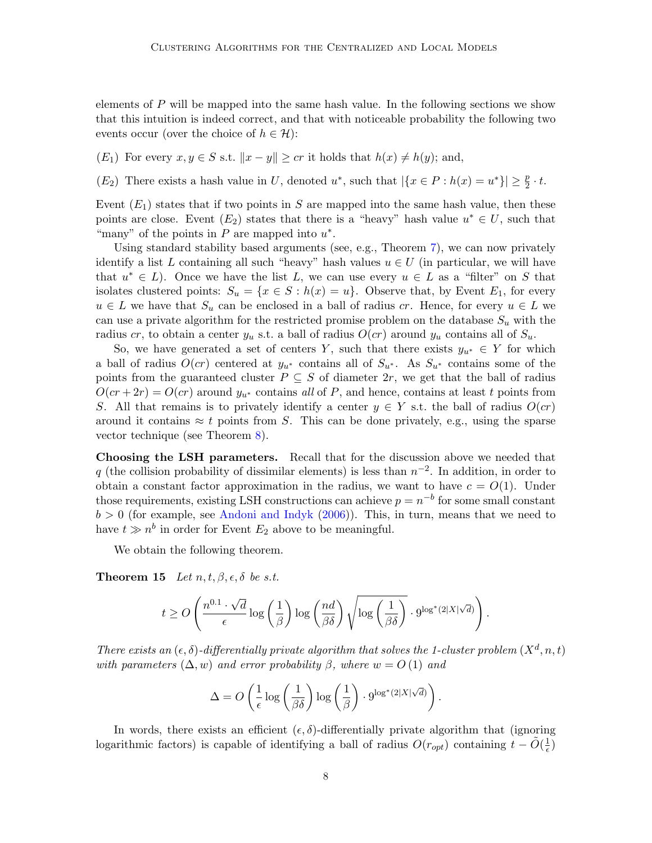elements of  $P$  will be mapped into the same hash value. In the following sections we show that this intuition is indeed correct, and that with noticeable probability the following two events occur (over the choice of  $h \in \mathcal{H}$ ):

 $(E_1)$  For every  $x, y \in S$  s.t.  $||x - y|| \geq cr$  it holds that  $h(x) \neq h(y)$ ; and,

 $(E_2)$  There exists a hash value in U, denoted  $u^*$ , such that  $|\{x \in P : h(x) = u^*\}| \ge \frac{p}{2} \cdot t$ .

Event  $(E_1)$  states that if two points in S are mapped into the same hash value, then these points are close. Event  $(E_2)$  states that there is a "heavy" hash value  $u^* \in U$ , such that "many" of the points in  $P$  are mapped into  $u^*$ .

Using standard stability based arguments (see, e.g., Theorem [7\)](#page-4-0), we can now privately identify a list L containing all such "heavy" hash values  $u \in U$  (in particular, we will have that  $u^* \in L$ ). Once we have the list L, we can use every  $u \in L$  as a "filter" on S that isolates clustered points:  $S_u = \{x \in S : h(x) = u\}$ . Observe that, by Event  $E_1$ , for every  $u \in L$  we have that  $S_u$  can be enclosed in a ball of radius cr. Hence, for every  $u \in L$  we can use a private algorithm for the restricted promise problem on the database  $S_u$  with the radius cr, to obtain a center  $y_u$  s.t. a ball of radius  $O(cr)$  around  $y_u$  contains all of  $S_u$ .

So, we have generated a set of centers Y, such that there exists  $y_{u^*} \in Y$  for which a ball of radius  $O(cr)$  centered at  $y_{u^*}$  contains all of  $S_{u^*}$ . As  $S_{u^*}$  contains some of the points from the guaranteed cluster  $P \subseteq S$  of diameter  $2r$ , we get that the ball of radius  $O(cr + 2r) = O(cr)$  around  $y_{u^*}$  contains all of P, and hence, contains at least t points from S. All that remains is to privately identify a center  $y \in Y$  s.t. the ball of radius  $O(cr)$ around it contains  $\approx t$  points from S. This can be done privately, e.g., using the sparse vector technique (see Theorem [8\)](#page-4-1).

Choosing the LSH parameters. Recall that for the discussion above we needed that q (the collision probability of dissimilar elements) is less than  $n^{-2}$ . In addition, in order to obtain a constant factor approximation in the radius, we want to have  $c = O(1)$ . Under those requirements, existing LSH constructions can achieve  $p = n^{-b}$  for some small constant  $b > 0$  (for example, see [Andoni and Indyk](#page-12-7) [\(2006\)](#page-12-7)). This, in turn, means that we need to have  $t \gg n^b$  in order for Event  $E_2$  above to be meaningful.

We obtain the following theorem.

<span id="page-7-0"></span>**Theorem 15** Let  $n, t, \beta, \epsilon, \delta$  be s.t.

$$
t \geq O\left(\frac{n^{0.1} \cdot \sqrt{d}}{\epsilon} \log\left(\frac{1}{\beta}\right) \log\left(\frac{nd}{\beta \delta}\right) \sqrt{\log\left(\frac{1}{\beta \delta}\right)} \cdot 9^{\log^*(2|X|\sqrt{d})}\right).
$$

There exists an  $(\epsilon, \delta)$ -differentially private algorithm that solves the 1-cluster problem  $(X^d, n, t)$ with parameters  $(\Delta, w)$  and error probability  $\beta$ , where  $w = O(1)$  and

$$
\Delta = O\left(\frac{1}{\epsilon}\log\left(\frac{1}{\beta\delta}\right)\log\left(\frac{1}{\beta}\right)\cdot 9^{\log^*(2|X|\sqrt{d})}\right)
$$

.

In words, there exists an efficient  $(\epsilon, \delta)$ -differentially private algorithm that (ignoring logarithmic factors) is capable of identifying a ball of radius  $O(r_{opt})$  containing  $t - \tilde{O}(\frac{1}{\epsilon})$  $(\frac{1}{\epsilon})$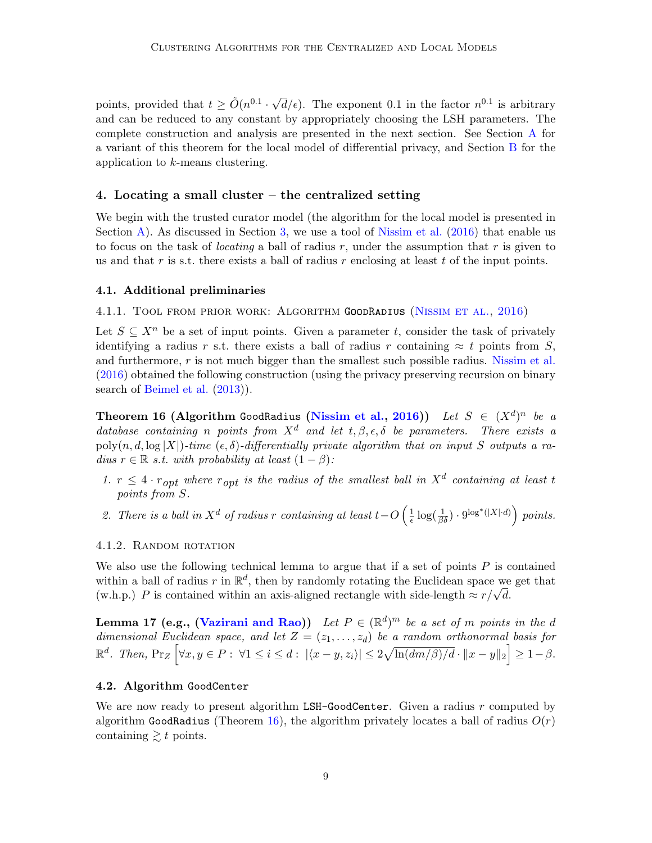points, provided that  $t \geq \tilde{O}(n^{0.1} \cdot$ √  $\overline{d}/\epsilon$ ). The exponent 0.1 in the factor  $n^{0.1}$  is arbitrary and can be reduced to any constant by appropriately choosing the LSH parameters. The complete construction and analysis are presented in the next section. See Section [A](#page-14-5) for a variant of this theorem for the local model of differential privacy, and Section [B](#page-24-0) for the application to k-means clustering.

## 4. Locating a small cluster – the centralized setting

We begin with the trusted curator model (the algorithm for the local model is presented in Section [A\)](#page-14-5). As discussed in Section [3,](#page-4-2) we use a tool of [Nissim et al.](#page-14-0) [\(2016\)](#page-14-0) that enable us to focus on the task of *locating* a ball of radius r, under the assumption that r is given to us and that  $r$  is s.t. there exists a ball of radius  $r$  enclosing at least  $t$  of the input points.

#### 4.1. Additional preliminaries

4.1.1. Tool from prior work: Algorithm GoodRadius [\(Nissim et al.,](#page-14-0) [2016\)](#page-14-0)

Let  $S \subseteq X^n$  be a set of input points. Given a parameter t, consider the task of privately identifying a radius r s.t. there exists a ball of radius r containing  $\approx t$  points from S, and furthermore,  $r$  is not much bigger than the smallest such possible radius. [Nissim et al.](#page-14-0) [\(2016\)](#page-14-0) obtained the following construction (using the privacy preserving recursion on binary search of [Beimel et al.](#page-12-5) [\(2013\)](#page-12-5)).

<span id="page-8-0"></span>Theorem 16 (Algorithm GoodRadius [\(Nissim et al.,](#page-14-0) [2016\)](#page-14-0)) Let  $S \in (X^d)^n$  be a database containing n points from  $X^d$  and let  $t, \beta, \epsilon, \delta$  be parameters. There exists a  $poly(n, d, \log |X|)$ -time  $(\epsilon, \delta)$ -differentially private algorithm that on input S outputs a radius  $r \in \mathbb{R}$  s.t. with probability at least  $(1 - \beta)$ :

- 1.  $r \leq 4 \cdot r_{opt}$  where  $r_{opt}$  is the radius of the smallest ball in  $X^d$  containing at least t points from S.
- 2. There is a ball in  $X^d$  of radius r containing at least  $t-O\left(\frac{1}{\epsilon}\right)$  $\frac{1}{\epsilon}\log(\frac{1}{\beta\delta})\cdot 9^{\log^*(|X|\cdot d)}\Big)\,\, points.$

### 4.1.2. Random rotation

We also use the following technical lemma to argue that if a set of points  $P$  is contained within a ball of radius r in  $\mathbb{R}^d$ , then by randomly rotating the Euclidean space we get that within a ball of radius r in  $\mathbb{R}^n$ , then by randomly rotating the Euchdean space we (w.h.p.) P is contained within an axis-aligned rectangle with side-length  $\approx r/\sqrt{d}$ .

<span id="page-8-1"></span>**Lemma 17 (e.g., [\(Vazirani and Rao\)](#page-14-6))** Let  $P \in (\mathbb{R}^d)^m$  be a set of m points in the d dimensional Euclidean space, and let  $Z = (z_1, \ldots, z_d)$  be a random orthonormal basis for  $\mathbb{R}^d$ . Then,  $Pr_Z \left[ \forall x, y \in P : \ \forall 1 \leq i \leq d : |\langle x - y, z_i \rangle| \leq 2\sqrt{\ln(dm/\beta)/d} \cdot ||x - y||_2 \right] \geq 1 - \beta.$ 

## 4.2. Algorithm GoodCenter

We are now ready to present algorithm  $LSH-GoodCenter$ . Given a radius r computed by algorithm GoodRadius (Theorem [16\)](#page-8-0), the algorithm privately locates a ball of radius  $O(r)$ containing  $\geq t$  points.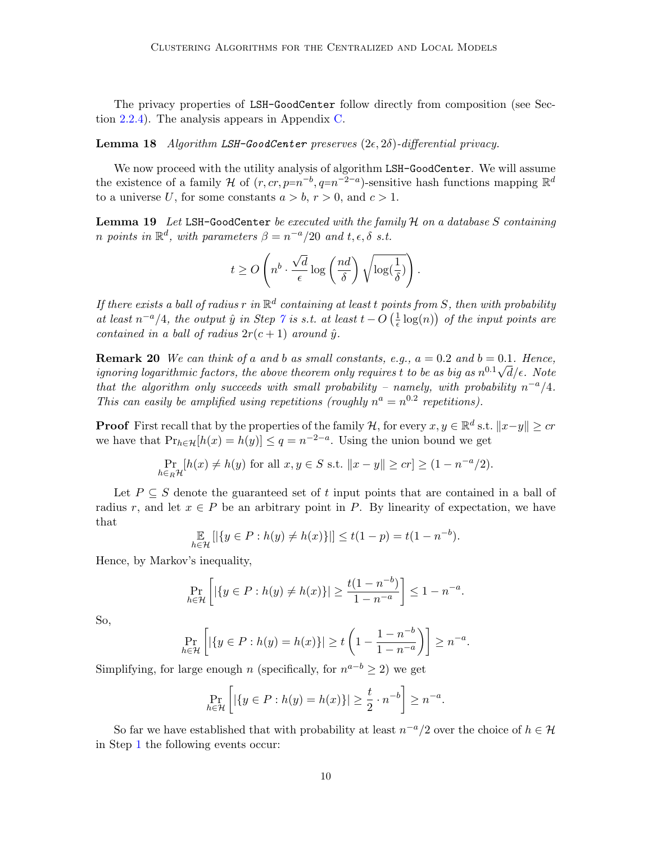The privacy properties of LSH-GoodCenter follow directly from composition (see Section [2.2.4\)](#page-4-3). The analysis appears in Appendix [C.](#page-30-0)

<span id="page-9-0"></span>**Lemma 18** Algorithm LSH-GoodCenter preserves  $(2\epsilon, 2\delta)$ -differential privacy.

We now proceed with the utility analysis of algorithm LSH-GoodCenter. We will assume the existence of a family H of  $(r, cr, p=n^{-b}, q=n^{-2-a})$ -sensitive hash functions mapping  $\mathbb{R}^d$ to a universe U, for some constants  $a > b, r > 0$ , and  $c > 1$ .

<span id="page-9-1"></span>**Lemma 19** Let LSH-GoodCenter be executed with the family  $H$  on a database S containing n points in  $\mathbb{R}^d$ , with parameters  $\beta = n^{-a}/20$  and  $t, \epsilon, \delta$  s.t.

$$
t \geq O\left(n^b \cdot \frac{\sqrt{d}}{\epsilon} \log\left(\frac{nd}{\delta}\right) \sqrt{\log(\frac{1}{\delta})}\right).
$$

If there exists a ball of radius r in  $\mathbb{R}^d$  containing at least t points from S, then with probability at least  $n^{-a}/4$ , the output  $\hat{y}$  in Step  $\gamma$  is s.t. at least  $t - O\left(\frac{1}{\epsilon}\right)$  $\frac{1}{\epsilon} \log(n)$  of the input points are contained in a ball of radius  $2r(c+1)$  around  $\hat{y}$ .

**Remark 20** We can think of a and b as small constants, e.g.,  $a = 0.2$  and  $b = 0.1$ . Hence, ignoring logarithmic factors, the above theorem only requires t to be as big as  $n^{0.1}\sqrt{d}/\epsilon$ . Note that the algorithm only succeeds with small probability – namely, with probability  $n^{-a}/4$ . This can easily be amplified using repetitions (roughly  $n^a = n^{0.2}$  repetitions).

**Proof** First recall that by the properties of the family H, for every  $x, y \in \mathbb{R}^d$  s.t.  $||x-y|| \geq cr$ we have that  $Pr_{h \in H}[h(x) = h(y)] \le q = n^{-2-a}$ . Using the union bound we get

$$
\Pr_{h \in_R \mathcal{H}}[h(x) \neq h(y) \text{ for all } x, y \in S \text{ s.t. } ||x - y|| \geq cr] \geq (1 - n^{-a}/2).
$$

Let  $P \subseteq S$  denote the guaranteed set of t input points that are contained in a ball of radius r, and let  $x \in P$  be an arbitrary point in P. By linearity of expectation, we have that

$$
\mathop{\mathbb{E}}_{h \in \mathcal{H}} [|\{y \in P : h(y) \neq h(x)\}]| \le t(1-p) = t(1-n^{-b}).
$$

Hence, by Markov's inequality,

$$
\Pr_{h \in \mathcal{H}} \left[ |\{ y \in P : h(y) \neq h(x) \}| \geq \frac{t(1 - n^{-b})}{1 - n^{-a}} \right] \leq 1 - n^{-a}.
$$

So,

$$
\Pr_{h \in \mathcal{H}} \left[ |\{ y \in P : h(y) = h(x) \}| \ge t \left( 1 - \frac{1 - n^{-b}}{1 - n^{-a}} \right) \right] \ge n^{-a}.
$$

Simplifying, for large enough n (specifically, for  $n^{a-b} \geq 2$ ) we get

$$
\Pr_{h \in \mathcal{H}} \left[ |\{ y \in P : h(y) = h(x) \}| \ge \frac{t}{2} \cdot n^{-b} \right] \ge n^{-a}.
$$

So far we have established that with probability at least  $n^{-a}/2$  over the choice of  $h \in \mathcal{H}$ in Step [1](#page-11-1) the following events occur: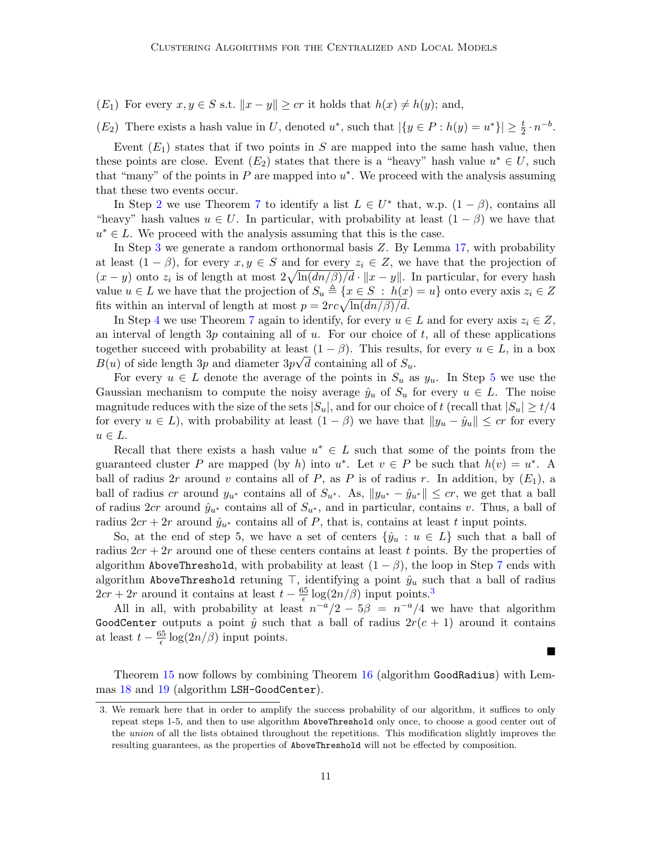(E<sub>1</sub>) For every  $x, y \in S$  s.t.  $||x - y|| \geq cr$  it holds that  $h(x) \neq h(y)$ ; and,

 $(E_2)$  There exists a hash value in U, denoted  $u^*$ , such that  $|\{y \in P : h(y) = u^*\}| \geq \frac{t}{2} \cdot n^{-b}$ .

Event  $(E_1)$  states that if two points in S are mapped into the same hash value, then these points are close. Event  $(E_2)$  states that there is a "heavy" hash value  $u^* \in U$ , such that "many" of the points in  $P$  are mapped into  $u^*$ . We proceed with the analysis assuming that these two events occur.

In Step [2](#page-11-2) we use Theorem [7](#page-4-0) to identify a list  $L \in U^*$  that, w.p.  $(1 - \beta)$ , contains all "heavy" hash values  $u \in U$ . In particular, with probability at least  $(1 - \beta)$  we have that  $u^* \in L$ . We proceed with the analysis assuming that this is the case.

In Step [3](#page-20-0) we generate a random orthonormal basis Z. By Lemma [17,](#page-8-1) with probability at least  $(1 - \beta)$ , for every  $x, y \in S$  and for every  $z_i \in Z$ , we have that the projection of  $(x - y)$  onto  $z_i$  is of length at most  $2\sqrt{\ln(dn/\beta)/d} \cdot ||x - y||$ . In particular, for every hash value  $u \in L$  we have that the projection of  $S_u \triangleq \{x \in S : h(x) = u\}$  onto every axis  $z_i \in Z$ fits within an interval of length at most  $p = 2rc\sqrt{\ln(dn/\beta)/d}$ .

In Step [4](#page-11-3) we use Theorem [7](#page-4-0) again to identify, for every  $u \in L$  and for every axis  $z_i \in Z$ , an interval of length  $3p$  containing all of u. For our choice of t, all of these applications together succeed with probability at least  $(1 - \beta)$ . This results, for every  $u \in L$ , in a box  $B(u)$  of side length 3p and diameter  $3p\sqrt{d}$  containing all of  $S_u$ .

For every  $u \in L$  denote the average of the points in  $S_u$  as  $y_u$ . In Step [5](#page-11-4) we use the Gaussian mechanism to compute the noisy average  $\hat{y}_u$  of  $S_u$  for every  $u \in L$ . The noise magnitude reduces with the size of the sets  $|S_u|$ , and for our choice of t (recall that  $|S_u| \ge t/4$ for every  $u \in L$ , with probability at least  $(1 - \beta)$  we have that  $||y_u - \hat{y}_u|| \leq c r$  for every  $u \in L$ .

Recall that there exists a hash value  $u^* \in L$  such that some of the points from the guaranteed cluster P are mapped (by h) into  $u^*$ . Let  $v \in P$  be such that  $h(v) = u^*$ . A ball of radius 2r around v contains all of P, as P is of radius r. In addition, by  $(E_1)$ , a ball of radius cr around  $y_{u^*}$  contains all of  $S_{u^*}$ . As,  $||y_{u^*} - \hat{y}_{u^*}|| \leq c_r$ , we get that a ball of radius 2cr around  $\hat{y}_{u^*}$  contains all of  $S_{u^*}$ , and in particular, contains v. Thus, a ball of radius  $2cr + 2r$  around  $\hat{y}_{u^*}$  contains all of P, that is, contains at least t input points.

So, at the end of step 5, we have a set of centers  $\{\hat{y}_u : u \in L\}$  such that a ball of radius  $2cr + 2r$  around one of these centers contains at least t points. By the properties of algorithm AboveThreshold, with probability at least  $(1 - \beta)$ , the loop in Step [7](#page-11-0) ends with algorithm AboveThreshold retuning  $\top$ , identifying a point  $\hat{y}_u$  such that a ball of radius  $2cr + 2r$  around it contains at least  $t - \frac{65}{6}$  $\frac{35}{6} \log(2n/\beta)$  $\frac{35}{6} \log(2n/\beta)$  $\frac{35}{6} \log(2n/\beta)$  input points.<sup>3</sup>

All in all, with probability at least  $n^{-a}/2 - 5\beta = n^{-a}/4$  we have that algorithm GoodCenter outputs a point  $\hat{y}$  such that a ball of radius  $2r(c + 1)$  around it contains at least  $t - \frac{65}{6}$  $\frac{\delta}{\epsilon} \log(2n/\beta)$  input points.

Theorem [15](#page-7-0) now follows by combining Theorem [16](#page-8-0) (algorithm GoodRadius) with Lemmas [18](#page-9-0) and [19](#page-9-1) (algorithm LSH-GoodCenter).

<span id="page-10-0"></span><sup>3.</sup> We remark here that in order to amplify the success probability of our algorithm, it suffices to only repeat steps 1-5, and then to use algorithm AboveThreshold only once, to choose a good center out of the union of all the lists obtained throughout the repetitions. This modification slightly improves the resulting guarantees, as the properties of AboveThreshold will not be effected by composition.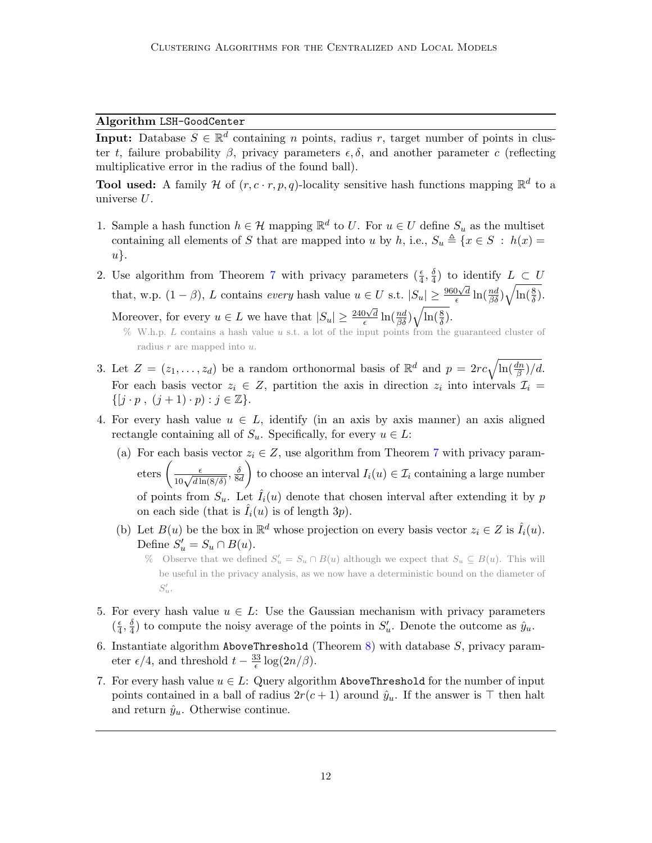## Algorithm LSH-GoodCenter

**Input:** Database  $S \in \mathbb{R}^d$  containing *n* points, radius *r*, target number of points in cluster t, failure probability  $\beta$ , privacy parameters  $\epsilon, \delta$ , and another parameter c (reflecting multiplicative error in the radius of the found ball).

**Tool used:** A family H of  $(r, c \cdot r, p, q)$ -locality sensitive hash functions mapping  $\mathbb{R}^d$  to a universe  $U$ .

- <span id="page-11-1"></span>1. Sample a hash function  $h \in \mathcal{H}$  mapping  $\mathbb{R}^d$  to U. For  $u \in U$  define  $S_u$  as the multiset containing all elements of S that are mapped into u by h, i.e.,  $S_u \triangleq \{x \in S : h(x) =$ u}.
- <span id="page-11-2"></span>2. Use algorithm from Theorem [7](#page-4-0) with privacy parameters  $(\frac{\epsilon}{4}, \frac{\delta}{4})$  $\frac{1}{4}$ ) to identify  $L \subset U$ that, w.p.  $(1 - \beta)$ , L contains every hash value  $u \in U$  s.t.  $|S_u| \geq \frac{960\sqrt{d}}{\epsilon}$  $\frac{\partial \sqrt{d}}{\epsilon} \ln(\frac{nd}{\beta \delta}) \sqrt{\ln(\frac{8}{\delta})}.$ Moreover, for every  $u \in L$  we have that  $|S_u| \geq \frac{240\sqrt{d}}{6}$  $\frac{\partial \sqrt{d}}{\epsilon} \ln(\frac{nd}{\beta \delta}) \sqrt{\ln(\frac{8}{\delta})}.$ 
	- % W.h.p. L contains a hash value u s.t. a lot of the input points from the guaranteed cluster of radius  $r$  are mapped into  $u$ .
- 3. Let  $Z = (z_1, \ldots, z_d)$  be a random orthonormal basis of  $\mathbb{R}^d$  and  $p = 2rc\sqrt{\ln(\frac{dn}{\beta})/d}$ . For each basis vector  $z_i \in Z$ , partition the axis in direction  $z_i$  into intervals  $\mathcal{I}_i =$  $\{[j \cdot p, (j + 1) \cdot p) : j \in \mathbb{Z}\}.$
- <span id="page-11-5"></span><span id="page-11-3"></span>4. For every hash value  $u \in L$ , identify (in an axis by axis manner) an axis aligned rectangle containing all of  $S_u$ . Specifically, for every  $u \in L$ :
	- (a) For each basis vector  $z_i \in Z$ , use algorithm from Theorem [7](#page-4-0) with privacy parameters  $\left(\frac{\epsilon}{10\sqrt{d\ln(8/\delta)}}, \frac{\delta}{8\epsilon}\right)$ 8d to choose an interval  $I_i(u) \in \mathcal{I}_i$  containing a large number of points from  $S_u$ . Let  $\hat{I}_i(u)$  denote that chosen interval after extending it by p on each side (that is  $\hat{I}_i(u)$  is of length 3p).
	- (b) Let  $B(u)$  be the box in  $\mathbb{R}^d$  whose projection on every basis vector  $z_i \in Z$  is  $\hat{I}_i(u)$ . Define  $S'_u = S_u \cap B(u)$ .
		- % Observe that we defined  $S'_u = S_u \cap B(u)$  although we expect that  $S_u \subseteq B(u)$ . This will be useful in the privacy analysis, as we now have a deterministic bound on the diameter of  $S'_u$ .
- <span id="page-11-4"></span>5. For every hash value  $u \in L$ : Use the Gaussian mechanism with privacy parameters  $\left(\frac{\epsilon}{4}\right)$  $\frac{\epsilon}{4}, \frac{\delta}{4}$  $\frac{\delta}{4}$ ) to compute the noisy average of the points in  $S'_u$ . Denote the outcome as  $\hat{y}_u$ .
- <span id="page-11-6"></span>6. Instantiate algorithm AboveThreshold (Theorem [8\)](#page-4-1) with database  $S$ , privacy parameter  $\epsilon/4$ , and threshold  $t - \frac{33}{5}$  $\frac{33}{\epsilon} \log(2n/\beta).$
- <span id="page-11-0"></span>7. For every hash value  $u \in L$ : Query algorithm AboveThreshold for the number of input points contained in a ball of radius  $2r(c+1)$  around  $\hat{y}_u$ . If the answer is  $\top$  then halt and return  $\hat{y}_u$ . Otherwise continue.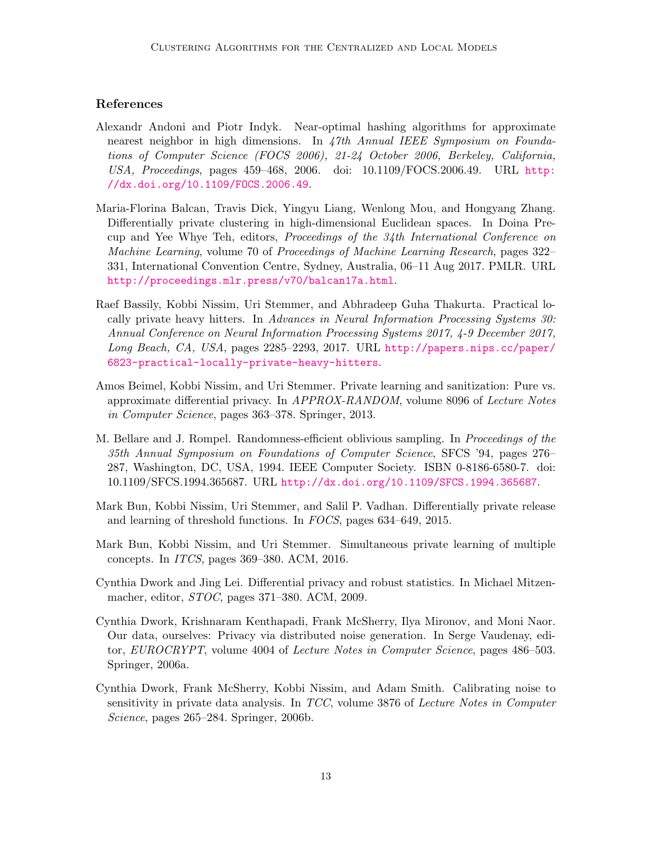# References

- <span id="page-12-7"></span>Alexandr Andoni and Piotr Indyk. Near-optimal hashing algorithms for approximate nearest neighbor in high dimensions. In 47th Annual IEEE Symposium on Foundations of Computer Science (FOCS 2006), 21-24 October 2006, Berkeley, California, USA, Proceedings, pages 459–468, 2006. doi: 10.1109/FOCS.2006.49. URL [http:](http://dx.doi.org/10.1109/FOCS.2006.49) [//dx.doi.org/10.1109/FOCS.2006.49](http://dx.doi.org/10.1109/FOCS.2006.49).
- <span id="page-12-9"></span>Maria-Florina Balcan, Travis Dick, Yingyu Liang, Wenlong Mou, and Hongyang Zhang. Differentially private clustering in high-dimensional Euclidean spaces. In Doina Precup and Yee Whye Teh, editors, Proceedings of the 34th International Conference on Machine Learning, volume 70 of Proceedings of Machine Learning Research, pages 322– 331, International Convention Centre, Sydney, Australia, 06–11 Aug 2017. PMLR. URL <http://proceedings.mlr.press/v70/balcan17a.html>.
- <span id="page-12-0"></span>Raef Bassily, Kobbi Nissim, Uri Stemmer, and Abhradeep Guha Thakurta. Practical locally private heavy hitters. In Advances in Neural Information Processing Systems 30: Annual Conference on Neural Information Processing Systems 2017, 4-9 December 2017, Long Beach, CA, USA, pages 2285–2293, 2017. URL [http://papers.nips.cc/paper/](http://papers.nips.cc/paper/6823-practical-locally-private-heavy-hitters) [6823-practical-locally-private-heavy-hitters](http://papers.nips.cc/paper/6823-practical-locally-private-heavy-hitters).
- <span id="page-12-5"></span>Amos Beimel, Kobbi Nissim, and Uri Stemmer. Private learning and sanitization: Pure vs. approximate differential privacy. In APPROX-RANDOM, volume 8096 of Lecture Notes in Computer Science, pages 363–378. Springer, 2013.
- <span id="page-12-8"></span>M. Bellare and J. Rompel. Randomness-efficient oblivious sampling. In Proceedings of the 35th Annual Symposium on Foundations of Computer Science, SFCS '94, pages 276– 287, Washington, DC, USA, 1994. IEEE Computer Society. ISBN 0-8186-6580-7. doi: 10.1109/SFCS.1994.365687. URL <http://dx.doi.org/10.1109/SFCS.1994.365687>.
- <span id="page-12-1"></span>Mark Bun, Kobbi Nissim, Uri Stemmer, and Salil P. Vadhan. Differentially private release and learning of threshold functions. In FOCS, pages 634–649, 2015.
- <span id="page-12-6"></span>Mark Bun, Kobbi Nissim, and Uri Stemmer. Simultaneous private learning of multiple concepts. In ITCS, pages 369–380. ACM, 2016.
- <span id="page-12-4"></span>Cynthia Dwork and Jing Lei. Differential privacy and robust statistics. In Michael Mitzenmacher, editor, STOC, pages 371–380. ACM, 2009.
- <span id="page-12-3"></span>Cynthia Dwork, Krishnaram Kenthapadi, Frank McSherry, Ilya Mironov, and Moni Naor. Our data, ourselves: Privacy via distributed noise generation. In Serge Vaudenay, editor, EUROCRYPT, volume 4004 of Lecture Notes in Computer Science, pages 486–503. Springer, 2006a.
- <span id="page-12-2"></span>Cynthia Dwork, Frank McSherry, Kobbi Nissim, and Adam Smith. Calibrating noise to sensitivity in private data analysis. In TCC, volume 3876 of Lecture Notes in Computer Science, pages 265–284. Springer, 2006b.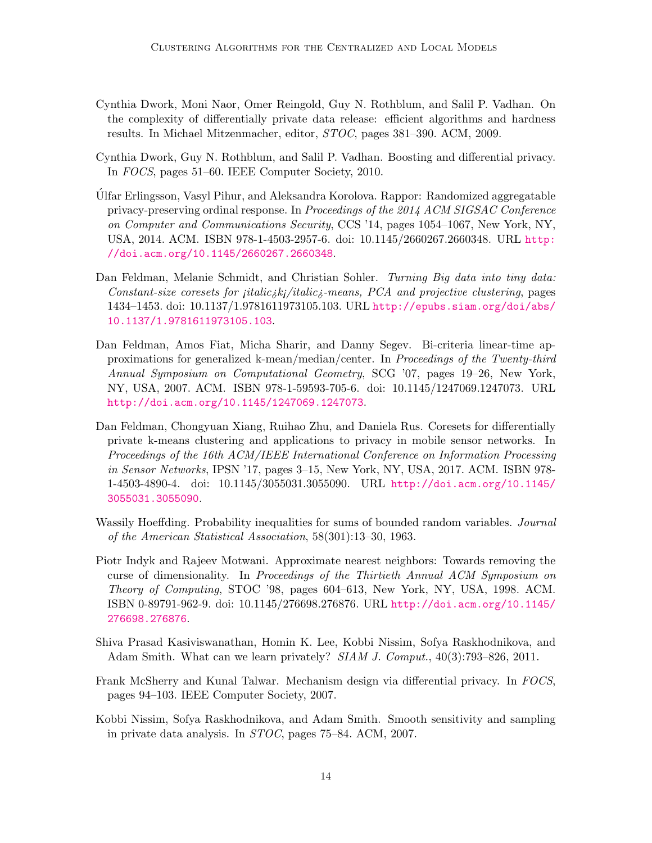- <span id="page-13-5"></span>Cynthia Dwork, Moni Naor, Omer Reingold, Guy N. Rothblum, and Salil P. Vadhan. On the complexity of differentially private data release: efficient algorithms and hardness results. In Michael Mitzenmacher, editor, STOC, pages 381–390. ACM, 2009.
- <span id="page-13-6"></span>Cynthia Dwork, Guy N. Rothblum, and Salil P. Vadhan. Boosting and differential privacy. In FOCS, pages 51–60. IEEE Computer Society, 2010.
- <span id="page-13-3"></span>Ulfar Erlingsson, Vasyl Pihur, and Aleksandra Korolova. Rappor: Randomized aggregatable ´ privacy-preserving ordinal response. In Proceedings of the 2014 ACM SIGSAC Conference on Computer and Communications Security, CCS '14, pages 1054–1067, New York, NY, USA, 2014. ACM. ISBN 978-1-4503-2957-6. doi: 10.1145/2660267.2660348. URL [http:](http://doi.acm.org/10.1145/2660267.2660348) [//doi.acm.org/10.1145/2660267.2660348](http://doi.acm.org/10.1145/2660267.2660348).
- <span id="page-13-10"></span>Dan Feldman, Melanie Schmidt, and Christian Sohler. Turning Big data into tiny data: Constant-size coresets for  $jitalic\lambda/\lambda/\lambda$  and projective clustering, pages 1434–1453. doi: 10.1137/1.9781611973105.103. URL [http://epubs.siam.org/doi/abs/](http://epubs.siam.org/doi/abs/10.1137/1.9781611973105.103) [10.1137/1.9781611973105.103](http://epubs.siam.org/doi/abs/10.1137/1.9781611973105.103).
- <span id="page-13-9"></span>Dan Feldman, Amos Fiat, Micha Sharir, and Danny Segev. Bi-criteria linear-time approximations for generalized k-mean/median/center. In Proceedings of the Twenty-third Annual Symposium on Computational Geometry, SCG '07, pages 19–26, New York, NY, USA, 2007. ACM. ISBN 978-1-59593-705-6. doi: 10.1145/1247069.1247073. URL <http://doi.acm.org/10.1145/1247069.1247073>.
- <span id="page-13-1"></span>Dan Feldman, Chongyuan Xiang, Ruihao Zhu, and Daniela Rus. Coresets for differentially private k-means clustering and applications to privacy in mobile sensor networks. In Proceedings of the 16th ACM/IEEE International Conference on Information Processing in Sensor Networks, IPSN '17, pages 3–15, New York, NY, USA, 2017. ACM. ISBN 978- 1-4503-4890-4. doi: 10.1145/3055031.3055090. URL [http://doi.acm.org/10.1145/](http://doi.acm.org/10.1145/3055031.3055090) [3055031.3055090](http://doi.acm.org/10.1145/3055031.3055090).
- <span id="page-13-8"></span>Wassily Hoeffding. Probability inequalities for sums of bounded random variables. *Journal* of the American Statistical Association, 58(301):13–30, 1963.
- <span id="page-13-2"></span>Piotr Indyk and Rajeev Motwani. Approximate nearest neighbors: Towards removing the curse of dimensionality. In Proceedings of the Thirtieth Annual ACM Symposium on Theory of Computing, STOC '98, pages 604–613, New York, NY, USA, 1998. ACM. ISBN 0-89791-962-9. doi: 10.1145/276698.276876. URL [http://doi.acm.org/10.1145/](http://doi.acm.org/10.1145/276698.276876) [276698.276876](http://doi.acm.org/10.1145/276698.276876).
- <span id="page-13-7"></span>Shiva Prasad Kasiviswanathan, Homin K. Lee, Kobbi Nissim, Sofya Raskhodnikova, and Adam Smith. What can we learn privately? SIAM J. Comput., 40(3):793–826, 2011.
- <span id="page-13-4"></span>Frank McSherry and Kunal Talwar. Mechanism design via differential privacy. In FOCS, pages 94–103. IEEE Computer Society, 2007.
- <span id="page-13-0"></span>Kobbi Nissim, Sofya Raskhodnikova, and Adam Smith. Smooth sensitivity and sampling in private data analysis. In STOC, pages 75–84. ACM, 2007.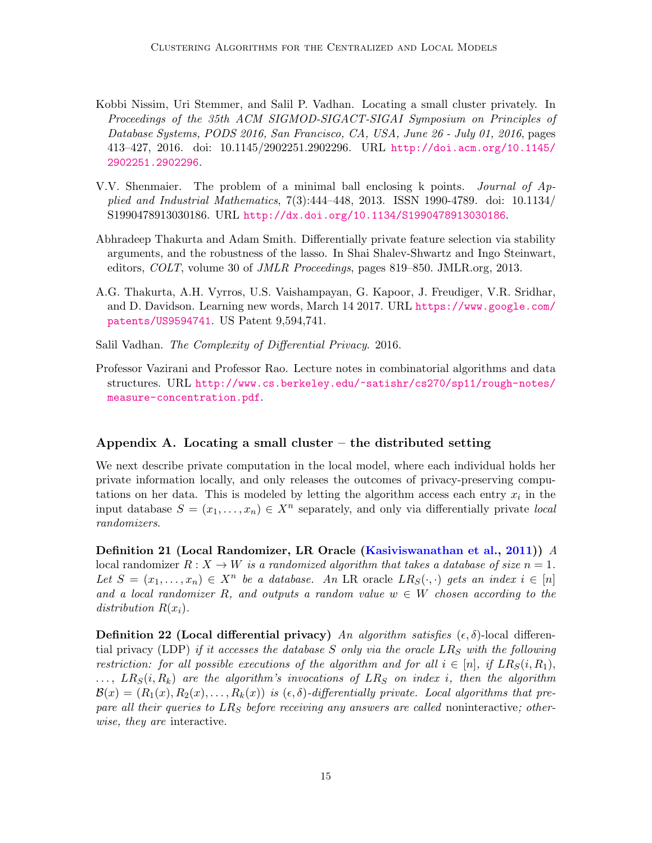- <span id="page-14-0"></span>Kobbi Nissim, Uri Stemmer, and Salil P. Vadhan. Locating a small cluster privately. In Proceedings of the 35th ACM SIGMOD-SIGACT-SIGAI Symposium on Principles of Database Systems, PODS 2016, San Francisco, CA, USA, June 26 - July 01, 2016, pages 413–427, 2016. doi: 10.1145/2902251.2902296. URL [http://doi.acm.org/10.1145/](http://doi.acm.org/10.1145/2902251.2902296) [2902251.2902296](http://doi.acm.org/10.1145/2902251.2902296).
- <span id="page-14-4"></span>V.V. Shenmaier. The problem of a minimal ball enclosing k points. Journal of Applied and Industrial Mathematics, 7(3):444–448, 2013. ISSN 1990-4789. doi: 10.1134/ S1990478913030186. URL <http://dx.doi.org/10.1134/S1990478913030186>.
- <span id="page-14-2"></span>Abhradeep Thakurta and Adam Smith. Differentially private feature selection via stability arguments, and the robustness of the lasso. In Shai Shalev-Shwartz and Ingo Steinwart, editors, COLT, volume 30 of JMLR Proceedings, pages 819–850. JMLR.org, 2013.
- <span id="page-14-1"></span>A.G. Thakurta, A.H. Vyrros, U.S. Vaishampayan, G. Kapoor, J. Freudiger, V.R. Sridhar, and D. Davidson. Learning new words, March 14 2017. URL [https://www.google.com/](https://www.google.com/patents/US9594741) [patents/US9594741](https://www.google.com/patents/US9594741). US Patent 9,594,741.
- <span id="page-14-3"></span>Salil Vadhan. The Complexity of Differential Privacy. 2016.
- <span id="page-14-6"></span>Professor Vazirani and Professor Rao. Lecture notes in combinatorial algorithms and data structures. URL [http://www.cs.berkeley.edu/~satishr/cs270/sp11/rough-notes/](http://www.cs.berkeley.edu/~satishr/cs270/sp11/rough-notes/measure-concentration.pdf) [measure-concentration.pdf](http://www.cs.berkeley.edu/~satishr/cs270/sp11/rough-notes/measure-concentration.pdf).

### <span id="page-14-5"></span>Appendix A. Locating a small cluster  $-$  the distributed setting

We next describe private computation in the local model, where each individual holds her private information locally, and only releases the outcomes of privacy-preserving computations on her data. This is modeled by letting the algorithm access each entry  $x_i$  in the input database  $S = (x_1, \ldots, x_n) \in X^n$  separately, and only via differentially private local randomizers.

Definition 21 (Local Randomizer, LR Oracle [\(Kasiviswanathan et al.,](#page-13-7) [2011\)](#page-13-7)) A local randomizer  $R : X \to W$  is a randomized algorithm that takes a database of size  $n = 1$ . Let  $S = (x_1, \ldots, x_n) \in X^n$  be a database. An LR oracle  $LR_S(\cdot, \cdot)$  gets an index  $i \in [n]$ and a local randomizer R, and outputs a random value  $w \in W$  chosen according to the distribution  $R(x_i)$ .

**Definition 22 (Local differential privacy)** An algorithm satisfies  $(\epsilon, \delta)$ -local differential privacy (LDP) if it accesses the database S only via the oracle  $LR<sub>S</sub>$  with the following restriction: for all possible executions of the algorithm and for all  $i \in [n]$ , if  $LR_S(i, R_1)$ ,  $\ldots$ ,  $LR_S(i, R_k)$  are the algorithm's invocations of  $LR_S$  on index i, then the algorithm  $\mathcal{B}(x) = (R_1(x), R_2(x), \ldots, R_k(x))$  is  $(\epsilon, \delta)$ -differentially private. Local algorithms that prepare all their queries to  $LR<sub>S</sub>$  before receiving any answers are called noninteractive; otherwise, they are interactive.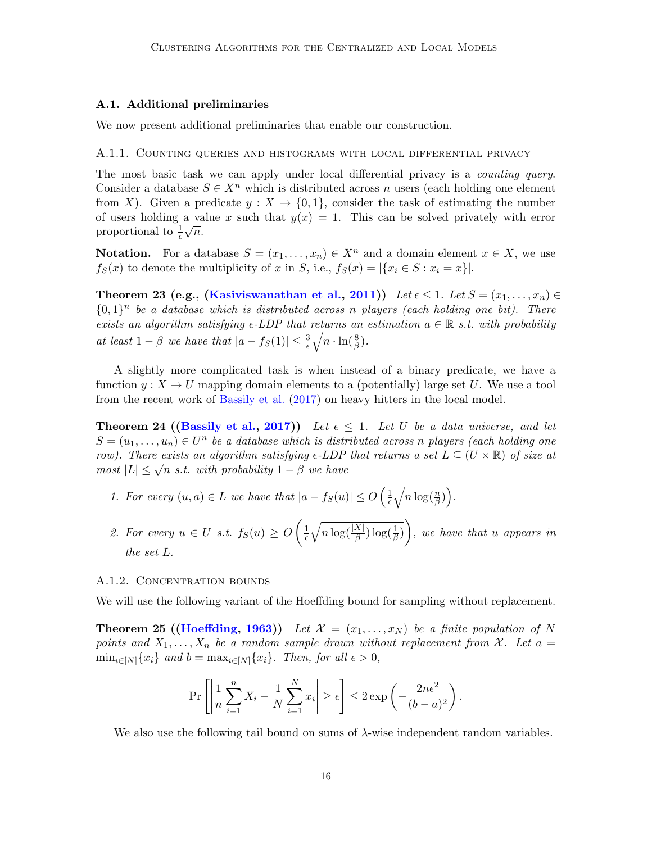#### A.1. Additional preliminaries

We now present additional preliminaries that enable our construction.

#### A.1.1. Counting queries and histograms with local differential privacy

The most basic task we can apply under local differential privacy is a *counting query*. Consider a database  $S \in X^n$  which is distributed across n users (each holding one element from X). Given a predicate  $y: X \to \{0,1\}$ , consider the task of estimating the number of users holding a value x such that  $y(x) = 1$ . This can be solved privately with error proportional to  $\frac{1}{\epsilon}\sqrt{n}$ .

**Notation.** For a database  $S = (x_1, \ldots, x_n) \in X^n$  and a domain element  $x \in X$ , we use  $f_S(x)$  to denote the multiplicity of x in S, i.e.,  $f_S(x) = |\{x_i \in S : x_i = x\}|$ .

<span id="page-15-0"></span>Theorem 23 (e.g., [\(Kasiviswanathan et al.,](#page-13-7) [2011\)](#page-13-7)) Let  $\epsilon \leq 1$ . Let  $S = (x_1, \ldots, x_n) \in$  $\{0,1\}^n$  be a database which is distributed across n players (each holding one bit). There exists an algorithm satisfying  $\epsilon$ -LDP that returns an estimation  $a \in \mathbb{R}$  s.t. with probability at least  $1 - \beta$  we have that  $|a - f_S(1)| \leq \frac{3}{\epsilon} \sqrt{n \cdot \ln(\frac{8}{\beta})}$ .

A slightly more complicated task is when instead of a binary predicate, we have a function  $y: X \to U$  mapping domain elements to a (potentially) large set U. We use a tool from the recent work of [Bassily et al.](#page-12-0) [\(2017\)](#page-12-0) on heavy hitters in the local model.

<span id="page-15-2"></span>**Theorem 24 ([\(Bassily et al.,](#page-12-0) [2017\)](#page-12-0))** Let  $\epsilon \leq 1$ . Let U be a data universe, and let  $S = (u_1, \ldots, u_n) \in U^n$  be a database which is distributed across n players (each holding one row). There exists an algorithm satisfying  $\epsilon$ -LDP that returns a set  $L \subseteq (U \times \mathbb{R})$  of size at *now)*. There exists an algorithm satisfying e-EDI<br>most  $|L| \leq \sqrt{n}$  s.t. with probability  $1 - \beta$  we have

- 1. For every  $(u, a) \in L$  we have that  $|a f_S(u)| \le O\left(\frac{1}{\epsilon}\right)$  $\frac{1}{\epsilon}\sqrt{n\log(\frac{n}{\beta})}\bigg).$
- 2. For every  $u \in U$  s.t.  $f_S(u) \geq O\left(\frac{1}{\epsilon}\right)$  $\overline{\epsilon}$  $\sqrt{n \log(\frac{|X|}{\beta}) \log(\frac{1}{\beta})}$ , we have that u appears in the set L.

#### A.1.2. CONCENTRATION BOUNDS

<span id="page-15-1"></span>We will use the following variant of the Hoeffding bound for sampling without replacement.

**Theorem 25 ([\(Hoeffding,](#page-13-8) [1963\)](#page-13-8))** Let  $\mathcal{X} = (x_1, \ldots, x_N)$  be a finite population of N points and  $X_1, \ldots, X_n$  be a random sample drawn without replacement from X. Let  $a =$  $\min_{i\in[N]}\{x_i\}$  and  $b = \max_{i\in[N]}\{x_i\}$ . Then, for all  $\epsilon > 0$ ,

$$
\Pr\left[\left|\frac{1}{n}\sum_{i=1}^n X_i - \frac{1}{N}\sum_{i=1}^N x_i\right| \ge \epsilon\right] \le 2\exp\left(-\frac{2n\epsilon^2}{(b-a)^2}\right).
$$

<span id="page-15-3"></span>We also use the following tail bound on sums of  $\lambda$ -wise independent random variables.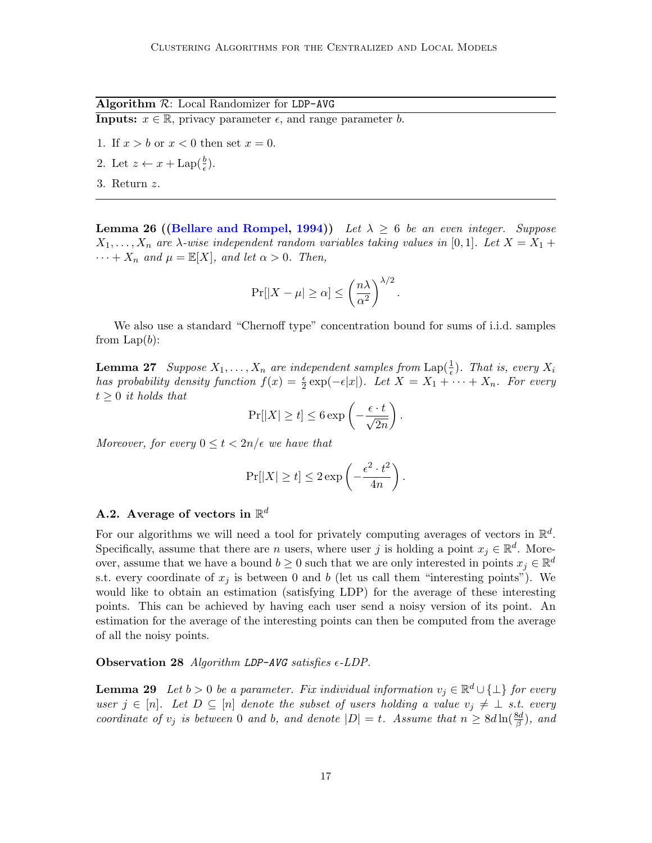Algorithm  $R$ : Local Randomizer for LDP-AVG

**Inputs:**  $x \in \mathbb{R}$ , privacy parameter  $\epsilon$ , and range parameter b.

- 1. If  $x > b$  or  $x < 0$  then set  $x = 0$ .
- 2. Let  $z \leftarrow x + \text{Lap}(\frac{b}{\epsilon})$ .
- 3. Return z.

**Lemma 26 ([\(Bellare and Rompel,](#page-12-8) [1994\)](#page-12-8))** Let  $\lambda \geq 6$  be an even integer. Suppose  $X_1, \ldots, X_n$  are  $\lambda$ -wise independent random variables taking values in [0,1]. Let  $X = X_1 +$  $\cdots + X_n$  and  $\mu = \mathbb{E}[X]$ , and let  $\alpha > 0$ . Then,

$$
\Pr[|X - \mu| \ge \alpha] \le \left(\frac{n\lambda}{\alpha^2}\right)^{\lambda/2}
$$

.

We also use a standard "Chernoff type" concentration bound for sums of i.i.d. samples from  $\text{Lap}(b)$ :

<span id="page-16-1"></span>**Lemma 27** Suppose  $X_1, \ldots, X_n$  are independent samples from  $\text{Lap}(\frac{1}{\epsilon})$ . That is, every  $X_i$ has probability density function  $f(x) = \frac{\epsilon}{2} \exp(-\epsilon |x|)$ . Let  $X = X_1 + \cdots + X_n$ . For every  $t \geq 0$  it holds that

$$
\Pr[|X| \ge t] \le 6 \exp\left(-\frac{\epsilon \cdot t}{\sqrt{2n}}\right).
$$

Moreover, for every  $0 \le t < 2n/\epsilon$  we have that

$$
\Pr[|X| \ge t] \le 2 \exp\left(-\frac{\epsilon^2 \cdot t^2}{4n}\right).
$$

# A.2. Average of vectors in  $\mathbb{R}^d$

For our algorithms we will need a tool for privately computing averages of vectors in  $\mathbb{R}^d$ . Specifically, assume that there are *n* users, where user j is holding a point  $x_j \in \mathbb{R}^d$ . Moreover, assume that we have a bound  $b \geq 0$  such that we are only interested in points  $x_j \in \mathbb{R}^d$ s.t. every coordinate of  $x_j$  is between 0 and b (let us call them "interesting points"). We would like to obtain an estimation (satisfying LDP) for the average of these interesting points. This can be achieved by having each user send a noisy version of its point. An estimation for the average of the interesting points can then be computed from the average of all the noisy points.

#### **Observation 28** Algorithm LDP-AVG satisfies  $\epsilon$ -LDP.

<span id="page-16-0"></span>**Lemma 29** Let  $b > 0$  be a parameter. Fix individual information  $v_j \in \mathbb{R}^d \cup \{\perp\}$  for every user  $j \in [n]$ . Let  $D \subseteq [n]$  denote the subset of users holding a value  $v_j \neq \bot$  s.t. every coordinate of  $v_j$  is between 0 and b, and denote  $|D|=t$ . Assume that  $n \geq 8d \ln(\frac{8d}{\beta})$ , and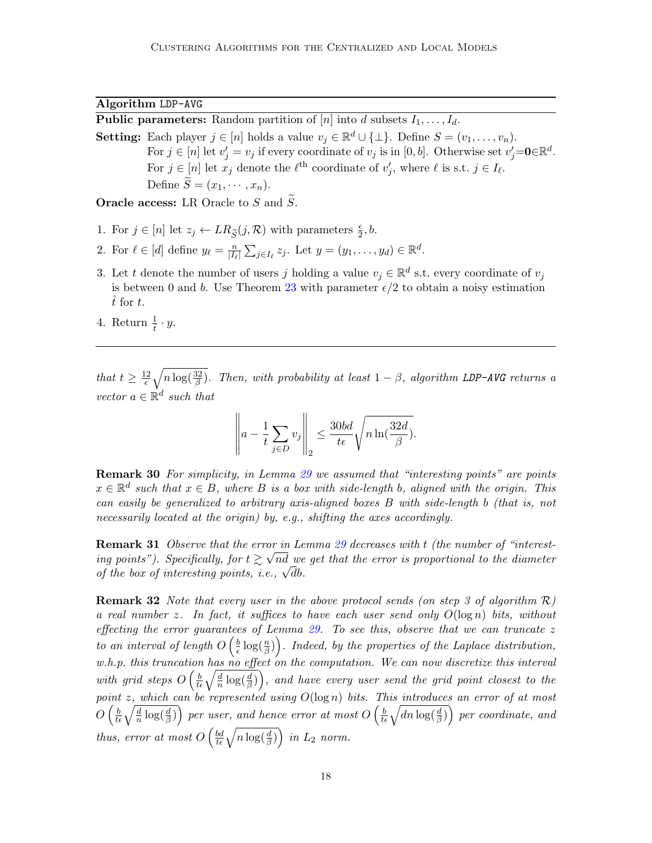Algorithm LDP-AVG

**Public parameters:** Random partition of [n] into d subsets  $I_1, \ldots, I_d$ .

**Setting:** Each player  $j \in [n]$  holds a value  $v_j \in \mathbb{R}^d \cup \{\perp\}$ . Define  $S = (v_1, \ldots, v_n)$ . For  $j \in [n]$  let  $v'_j = v_j$  if every coordinate of  $v_j$  is in [0, b]. Otherwise set  $v'_j = \mathbf{0} \in \mathbb{R}^d$ . For  $j \in [n]$  let  $x_j$  denote the  $\ell^{\text{th}}$  coordinate of  $v'_j$ , where  $\ell$  is s.t.  $j \in I_{\ell}$ . Define  $\widetilde{S} = (x_1, \cdots, x_n)$ .

**Oracle access:** LR Oracle to S and  $\tilde{S}$ .

- 1. For  $j \in [n]$  let  $z_j \leftarrow LR_{\widetilde{S}}(j, \mathcal{R})$  with parameters  $\frac{\epsilon}{2}, b$ .
- 2. For  $\ell \in [d]$  define  $y_{\ell} = \frac{n}{\sqrt{L}}$  $\frac{n}{|I_{\ell}|}\sum_{j\in I_{\ell}}z_j$ . Let  $y=(y_1,\ldots,y_d)\in\mathbb{R}^d$ .
- 3. Let t denote the number of users j holding a value  $v_j \in \mathbb{R}^d$  s.t. every coordinate of  $v_j$ is between 0 and b. Use Theorem [23](#page-15-0) with parameter  $\epsilon/2$  to obtain a noisy estimation  $\hat{t}$  for  $t$ .
- 4. Return  $\frac{1}{\hat{t}} \cdot y$ .

that  $t \geq \frac{12}{\epsilon}$  $\frac{d^2}{d\epsilon}\sqrt{n\log(\frac{32}{\beta})}$ . Then, with probability at least  $1-\beta$ , algorithm LDP-AVG returns a vector  $a \in \mathbb{R}^d$  such that

$$
\left\| a - \frac{1}{t} \sum_{j \in D} v_j \right\|_2 \le \frac{30bd}{t\epsilon} \sqrt{n \ln(\frac{32d}{\beta})}.
$$

**Remark 30** For simplicity, in Lemma [29](#page-16-0) we assumed that "interesting points" are points  $x \in \mathbb{R}^d$  such that  $x \in B$ , where B is a box with side-length b, aligned with the origin. This can easily be generalized to arbitrary axis-aligned boxes B with side-length b (that is, not necessarily located at the origin) by, e.g., shifting the axes accordingly.

**Remark 31** Observe that the error in Lemma [29](#page-16-0) decreases with t (the number of "interesting points"). Specifically, for  $t \gtrsim \sqrt{nd}$  we get that the error is proportional to the diameter *of the box of interesting points, i.e.,*  $\sqrt{d}b$ .

**Remark 32** Note that every user in the above protocol sends (on step 3 of algorithm  $\mathcal{R}$ ) a real number z. In fact, it suffices to have each user send only  $O(\log n)$  bits, without effecting the error guarantees of Lemma  $29$ . To see this, observe that we can truncate  $z$ to an interval of length  $O\left(\frac{b}{\epsilon}\right)$  $\frac{b}{\epsilon} \log(\frac{n}{\beta})$ . Indeed, by the properties of the Laplace distribution,  $w.h.p.$  this truncation has no effect on the computation. We can now discretize this interval with grid steps  $O\left(\frac{b}{t\epsilon}\sqrt{\frac{d}{n}\log(\frac{d}{\beta})}\right)$ , and have every user send the grid point closest to the point z, which can be represented using  $O(\log n)$  bits. This introduces an error of at most  $O\left(\frac{b}{t\epsilon}\sqrt{\frac{d}{n}\log(\frac{d}{\beta})}\right)$  per user, and hence error at most  $O\left(\frac{b}{t\epsilon}\sqrt{dn\log(\frac{d}{\beta})}\right)$  per coordinate, and thus, error at most  $O\left(\frac{bd}{t\epsilon}\sqrt{n\log(\frac{d}{\beta})}\right)$  in  $L_2$  norm.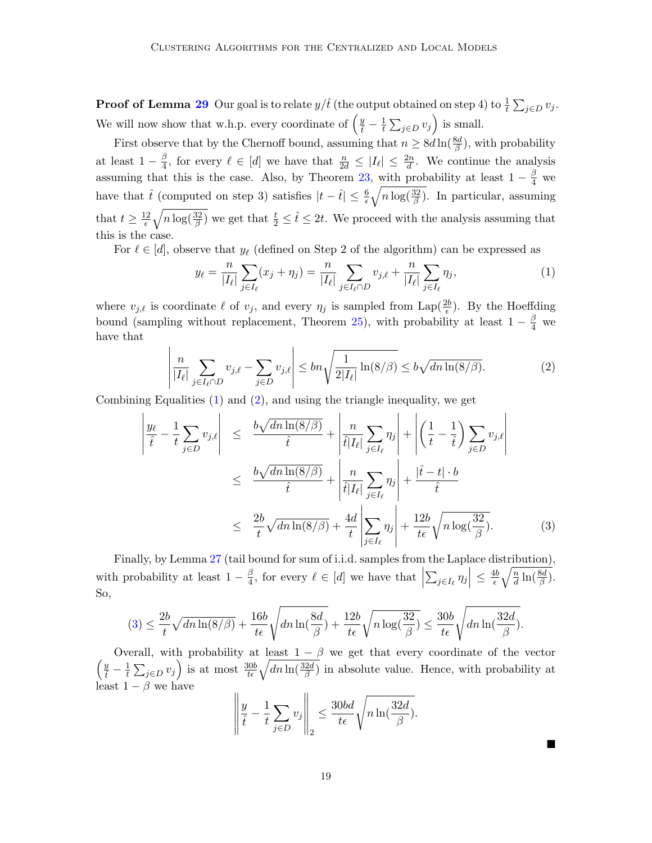**Proof of Lemma [29](#page-16-0)** Our goal is to relate  $y/\hat{t}$  (the output obtained on step 4) to  $\frac{1}{t} \sum_{j \in D} v_j$ . We will now show that w.h.p. every coordinate of  $\left(\frac{y}{\hat{t}} - \frac{1}{t}\right)$  $\frac{1}{t} \sum_{j \in D} v_j$  is small.

First observe that by the Chernoff bound, assuming that  $n \geq 8d \ln(\frac{8d}{\beta})$ , with probability at least  $1-\frac{\beta}{4}$  $\frac{\beta}{4}$ , for every  $\ell \in [d]$  we have that  $\frac{n}{2d} \leq |I_{\ell}| \leq \frac{2n}{d}$ . We continue the analysis assuming that this is the case. Also, by Theorem [23,](#page-15-0) with probability at least  $1 - \frac{\beta}{4}$  we have that  $\hat{t}$  (computed on step 3) satisfies  $|t - \hat{t}| \leq \frac{6}{\epsilon} \sqrt{n \log(\frac{32}{\beta})}$ . In particular, assuming that  $t \geq \frac{12}{5}$  $\frac{12}{\epsilon}\sqrt{n\log(\frac{32}{\beta})}$  we get that  $\frac{t}{2} \leq \hat{t} \leq 2t$ . We proceed with the analysis assuming that this is the case.

For  $\ell \in [d]$ , observe that  $y_{\ell}$  (defined on Step 2 of the algorithm) can be expressed as

<span id="page-18-0"></span>
$$
y_{\ell} = \frac{n}{|I_{\ell}|} \sum_{j \in I_{\ell}} (x_j + \eta_j) = \frac{n}{|I_{\ell}|} \sum_{j \in I_{\ell} \cap D} v_{j,\ell} + \frac{n}{|I_{\ell}|} \sum_{j \in I_{\ell}} \eta_j,
$$
 (1)

where  $v_{j,\ell}$  is coordinate  $\ell$  of  $v_j$ , and every  $\eta_j$  is sampled from Lap( $\frac{2b}{\epsilon}$ ). By the Hoeffding bound (sampling without replacement, Theorem [25\)](#page-15-1), with probability at least  $1 - \frac{\beta}{4}$  we have that

<span id="page-18-1"></span>
$$
\left| \frac{n}{|I_{\ell}|} \sum_{j \in I_{\ell} \cap D} v_{j,\ell} - \sum_{j \in D} v_{j,\ell} \right| \le b n \sqrt{\frac{1}{2|I_{\ell}|} \ln(8/\beta)} \le b \sqrt{\frac{dn \ln(8/\beta)}}. \tag{2}
$$

Combining Equalities  $(1)$  and  $(2)$ , and using the triangle inequality, we get

<span id="page-18-2"></span>
$$
\left| \frac{y_{\ell}}{\hat{t}} - \frac{1}{t} \sum_{j \in D} v_{j,\ell} \right| \leq \frac{b \sqrt{dn \ln(8/\beta)}}{\hat{t}} + \left| \frac{n}{\hat{t}|I_{\ell}|} \sum_{j \in I_{\ell}} \eta_{j} \right| + \left| \left( \frac{1}{t} - \frac{1}{\hat{t}} \right) \sum_{j \in D} v_{j,\ell} \right|
$$
  

$$
\leq \frac{b \sqrt{dn \ln(8/\beta)}}{\hat{t}} + \left| \frac{n}{\hat{t}|I_{\ell}|} \sum_{j \in I_{\ell}} \eta_{j} \right| + \frac{|\hat{t} - t| \cdot b}{\hat{t}}
$$
  

$$
\leq \frac{2b}{t} \sqrt{dn \ln(8/\beta)} + \frac{4d}{t} \left| \sum_{j \in I_{\ell}} \eta_{j} \right| + \frac{12b}{t\epsilon} \sqrt{n \log(\frac{32}{\beta})}. \tag{3}
$$

Finally, by Lemma [27](#page-16-1) (tail bound for sum of i.i.d. samples from the Laplace distribution), with probability at least  $1-\frac{\beta}{4}$  $\frac{\beta}{4}$ , for every  $\ell \in [d]$  we have that  $|$  $\sum_{j\in I_{\ell}}\eta_j\Big|\leq \frac{4b}{\epsilon}$  $\frac{1b}{\epsilon}\sqrt{\frac{n}{d}\ln(\frac{8d}{\beta})}.$ So,

$$
(3) \leq \frac{2b}{t} \sqrt{dn \ln(8/\beta)} + \frac{16b}{t\epsilon} \sqrt{dn \ln(\frac{8d}{\beta})} + \frac{12b}{t\epsilon} \sqrt{n \log(\frac{32}{\beta})} \leq \frac{30b}{t\epsilon} \sqrt{dn \ln(\frac{32d}{\beta})}.
$$

Overall, with probability at least  $1 - \beta$  we get that every coordinate of the vector  $\left(\frac{y}{\hat{t}}-\frac{1}{t}\right)$  $\frac{1}{t}\sum_{j\in D}v_j\right)$  is at most  $\frac{30b}{t\epsilon}\sqrt{dn\ln(\frac{32d}{\beta})}$  in absolute value. Hence, with probability at least  $1 - \beta$  we have

$$
\left\| \frac{y}{\hat{t}} - \frac{1}{t} \sum_{j \in D} v_j \right\|_2 \le \frac{30bd}{t\epsilon} \sqrt{n \ln(\frac{32d}{\beta})}.
$$

 $\blacksquare$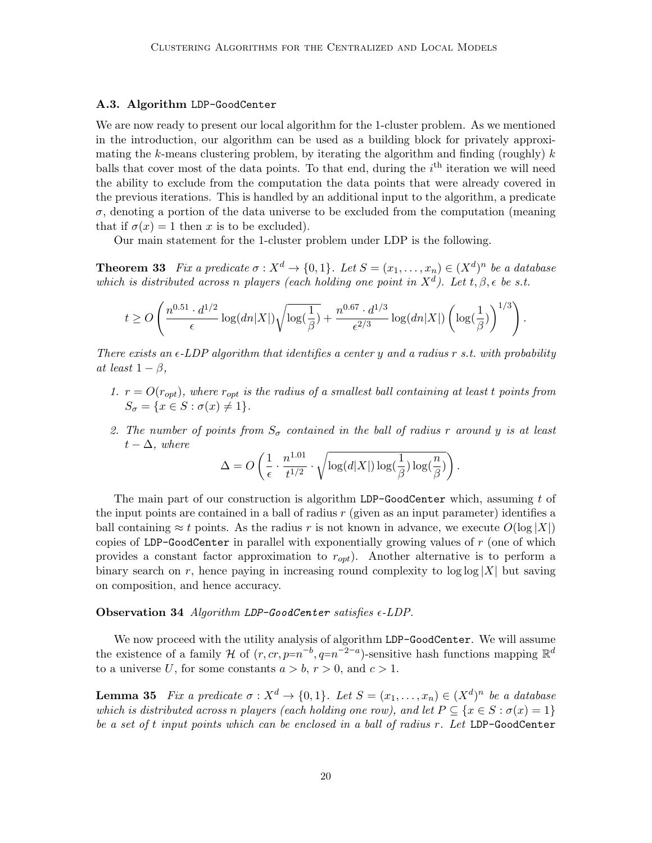#### A.3. Algorithm LDP-GoodCenter

We are now ready to present our local algorithm for the 1-cluster problem. As we mentioned in the introduction, our algorithm can be used as a building block for privately approximating the k-means clustering problem, by iterating the algorithm and finding (roughly)  $k$ balls that cover most of the data points. To that end, during the  $i<sup>th</sup>$  iteration we will need the ability to exclude from the computation the data points that were already covered in the previous iterations. This is handled by an additional input to the algorithm, a predicate  $\sigma$ , denoting a portion of the data universe to be excluded from the computation (meaning that if  $\sigma(x) = 1$  then x is to be excluded).

Our main statement for the 1-cluster problem under LDP is the following.

<span id="page-19-0"></span>**Theorem 33** Fix a predicate  $\sigma: X^d \to \{0,1\}$ . Let  $S = (x_1, \ldots, x_n) \in (X^d)^n$  be a database which is distributed across n players (each holding one point in  $X^d$ ). Let  $t, \beta, \epsilon$  be s.t.

$$
t \geq O\left(\frac{n^{0.51}\cdot d^{1/2}}{\epsilon}\log(dn|X|) \sqrt{\log(\frac{1}{\beta})} + \frac{n^{0.67}\cdot d^{1/3}}{\epsilon^{2/3}}\log(dn|X|) \left(\log(\frac{1}{\beta})\right)^{1/3}\right).
$$

There exists an  $\epsilon$ -LDP algorithm that identifies a center y and a radius r s.t. with probability at least  $1 - \beta$ ,

- 1.  $r = O(r_{opt})$ , where  $r_{opt}$  is the radius of a smallest ball containing at least t points from  $S_{\sigma} = \{x \in S : \sigma(x) \neq 1\}.$
- 2. The number of points from  $S_{\sigma}$  contained in the ball of radius r around y is at least  $t - \Delta$ , where

$$
\Delta = O\left(\frac{1}{\epsilon} \cdot \frac{n^{1.01}}{t^{1/2}} \cdot \sqrt{\log(d|X|) \log(\frac{1}{\beta}) \log(\frac{n}{\beta})}\right).
$$

The main part of our construction is algorithm LDP-GoodCenter which, assuming t of the input points are contained in a ball of radius  $r$  (given as an input parameter) identifies a ball containing  $\approx t$  points. As the radius r is not known in advance, we execute  $O(\log |X|)$ copies of LDP-GoodCenter in parallel with exponentially growing values of  $r$  (one of which provides a constant factor approximation to  $r_{opt}$ ). Another alternative is to perform a binary search on r, hence paying in increasing round complexity to  $\log |\alpha| X$  but saving on composition, and hence accuracy.

## Observation 34 Algorithm LDP-GoodCenter satisfies  $\epsilon$ -LDP.

We now proceed with the utility analysis of algorithm LDP-GoodCenter. We will assume the existence of a family H of  $(r, cr, p=n^{-b}, q=n^{-2-a})$ -sensitive hash functions mapping  $\mathbb{R}^d$ to a universe U, for some constants  $a > b, r > 0$ , and  $c > 1$ .

<span id="page-19-1"></span>**Lemma 35** Fix a predicate  $\sigma: X^d \to \{0,1\}$ . Let  $S = (x_1, \ldots, x_n) \in (X^d)^n$  be a database which is distributed across n players (each holding one row), and let  $P \subseteq \{x \in S : \sigma(x) = 1\}$ be a set of t input points which can be enclosed in a ball of radius r. Let LDP-GoodCenter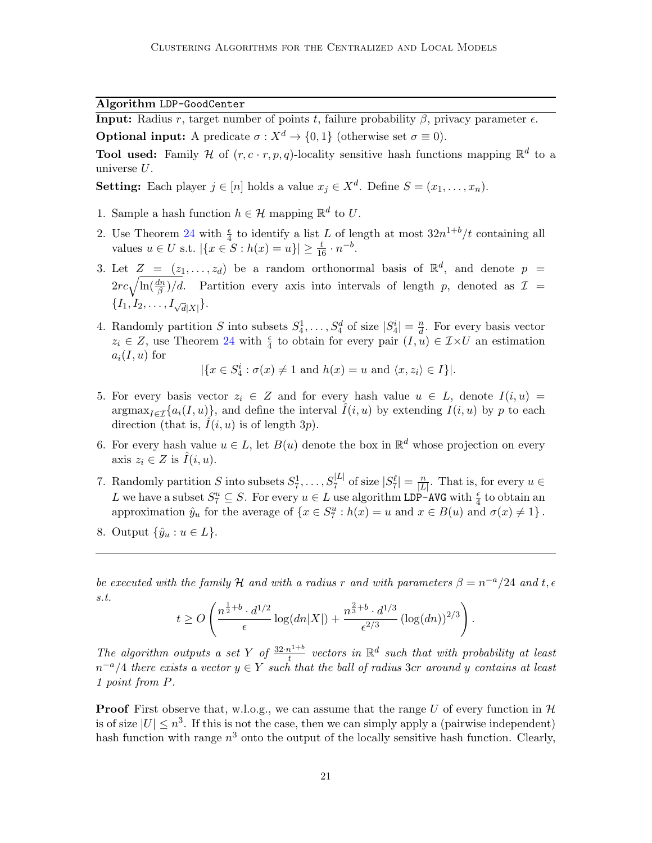Algorithm LDP-GoodCenter

**Input:** Radius r, target number of points t, failure probability  $\beta$ , privacy parameter  $\epsilon$ . **Optional input:** A predicate  $\sigma: X^d \to \{0, 1\}$  (otherwise set  $\sigma \equiv 0$ ).

**Tool used:** Family H of  $(r, c \cdot r, p, q)$ -locality sensitive hash functions mapping  $\mathbb{R}^d$  to a universe U.

**Setting:** Each player  $j \in [n]$  holds a value  $x_j \in X^d$ . Define  $S = (x_1, \ldots, x_n)$ .

- 1. Sample a hash function  $h \in \mathcal{H}$  mapping  $\mathbb{R}^d$  to U.
- 2. Use Theorem [24](#page-15-2) with  $\frac{\epsilon}{4}$  to identify a list L of length at most  $32n^{1+b}/t$  containing all values  $u \in U$  s.t.  $|\{x \in S : h(x) = u\}| \ge \frac{t}{16} \cdot n^{-b}$ .
- <span id="page-20-0"></span>3. Let  $Z = (z_1, \ldots, z_d)$  be a random orthonormal basis of  $\mathbb{R}^d$ , and denote  $p =$  $2rc\sqrt{\ln(\frac{dn}{\beta})/d}$ . Partition every axis into intervals of length p, denoted as  $\mathcal{I} =$  $\{I_1, I_2, \ldots, I_{\sqrt{d}|X|}\}.$
- 4. Randomly partition S into subsets  $S_4^1, \ldots, S_4^d$  of size  $|S_4^i| = \frac{n}{d}$  $\frac{n}{d}$ . For every basis vector  $z_i \in Z$ , use Theorem [24](#page-15-2) with  $\frac{\epsilon}{4}$  to obtain for every pair  $(I, u) \in \mathcal{I} \times U$  an estimation  $a_i(I, u)$  for

$$
|\{x \in S_4^i : \sigma(x) \neq 1 \text{ and } h(x) = u \text{ and } \langle x, z_i \rangle \in I\}|.
$$

- 5. For every basis vector  $z_i \in Z$  and for every hash value  $u \in L$ , denote  $I(i, u) =$  $\arg \max_{I \in \mathcal{I}} \{a_i(I, u)\}\$ , and define the interval  $I(i, u)$  by extending  $I(i, u)$  by p to each direction (that is,  $I(i, u)$  is of length 3p).
- 6. For every hash value  $u \in L$ , let  $B(u)$  denote the box in  $\mathbb{R}^d$  whose projection on every axis  $z_i \in Z$  is  $\tilde{I}(i, u)$ .
- 7. Randomly partition S into subsets  $S_7^1, \ldots, S_7^{|L|}$  of size  $|S_7^{\ell}| = \frac{n}{|L|}$  $\frac{n}{|L|}$ . That is, for every  $u \in$ L we have a subset  $S_7^u \subseteq S$ . For every  $u \in L$  use algorithm LDP-AVG with  $\frac{\epsilon}{4}$  to obtain an approximation  $\hat{y}_u$  for the average of  $\{x \in S_7^u : h(x) = u \text{ and } x \in B(u) \text{ and } \sigma(x) \neq 1\}$ .
- 8. Output  $\{\hat{y}_u : u \in L\}$ .

be executed with the family H and with a radius r and with parameters  $\beta = n^{-a}/24$  and t,  $\epsilon$ s.t.

$$
t \geq O\left(\frac{n^{\frac{1}{2}+b} \cdot d^{1/2}}{\epsilon} \log(dn|X|) + \frac{n^{\frac{2}{3}+b} \cdot d^{1/3}}{\epsilon^{2/3}} (\log(dn))^{2/3}\right).
$$

The algorithm outputs a set Y of  $\frac{32 \cdot n^{1+b}}{t}$  $t^{\frac{1+b}{t}}$  vectors in  $\mathbb{R}^d$  such that with probability at least  $n^{-a}/4$  there exists a vector  $y \in Y$  such that the ball of radius 3cr around y contains at least 1 point from P.

**Proof** First observe that, w.l.o.g., we can assume that the range U of every function in  $\mathcal{H}$ is of size  $|U| \leq n^3$ . If this is not the case, then we can simply apply a (pairwise independent) hash function with range  $n^3$  onto the output of the locally sensitive hash function. Clearly,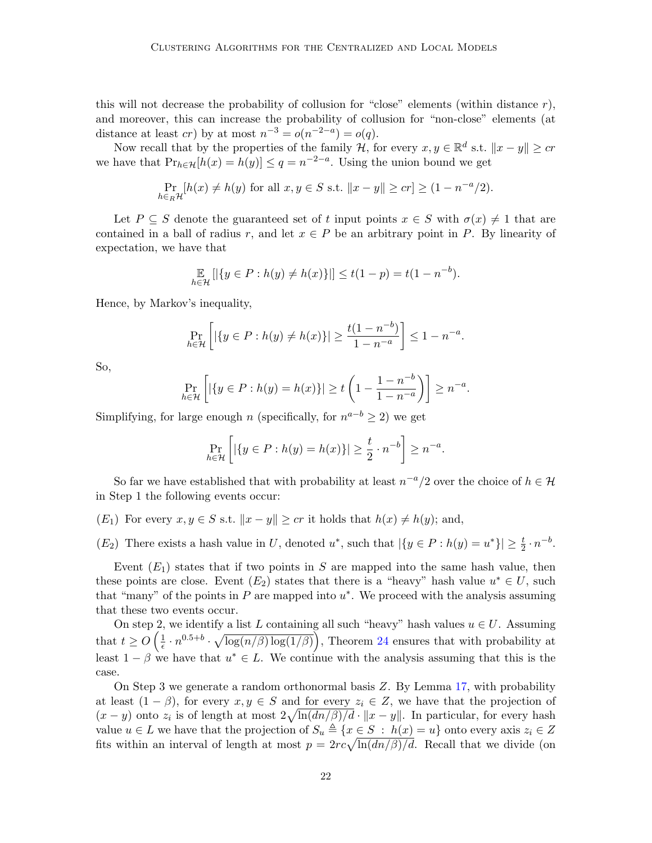this will not decrease the probability of collusion for "close" elements (within distance  $r$ ), and moreover, this can increase the probability of collusion for "non-close" elements (at distance at least cr) by at most  $n^{-3} = o(n^{-2-a}) = o(q)$ .

Now recall that by the properties of the family  $\mathcal{H}$ , for every  $x, y \in \mathbb{R}^d$  s.t.  $||x - y|| \geq c\tau$ we have that  $Pr_{h \in H}[h(x) = h(y)] \le q = n^{-2-a}$ . Using the union bound we get

$$
\Pr_{h \in_R \mathcal{H}}[h(x) \neq h(y) \text{ for all } x, y \in S \text{ s.t. } ||x - y|| \geq cr] \geq (1 - n^{-a}/2).
$$

Let P  $\subseteq$  S denote the guaranteed set of t input points  $x \in S$  with  $\sigma(x) \neq 1$  that are contained in a ball of radius r, and let  $x \in P$  be an arbitrary point in P. By linearity of expectation, we have that

$$
\mathop{\mathbb{E}}_{h \in \mathcal{H}} [|\{y \in P : h(y) \neq h(x)\}]| \le t(1-p) = t(1-n^{-b}).
$$

Hence, by Markov's inequality,

$$
\Pr_{h \in \mathcal{H}} \left[ |\{ y \in P : h(y) \neq h(x) \}| \geq \frac{t(1 - n^{-b})}{1 - n^{-a}} \right] \leq 1 - n^{-a}.
$$

So,

$$
\Pr_{h \in \mathcal{H}} \left[ |\{ y \in P : h(y) = h(x) \}| \ge t \left( 1 - \frac{1 - n^{-b}}{1 - n^{-a}} \right) \right] \ge n^{-a}.
$$

Simplifying, for large enough n (specifically, for  $n^{a-b} \geq 2$ ) we get

$$
\Pr_{h \in \mathcal{H}} \left[ \left| \{ y \in P : h(y) = h(x) \} \right| \geq \frac{t}{2} \cdot n^{-b} \right] \geq n^{-a}.
$$

So far we have established that with probability at least  $n^{-a}/2$  over the choice of  $h \in \mathcal{H}$ in Step 1 the following events occur:

- $(E_1)$  For every  $x, y \in S$  s.t.  $||x y|| \geq cr$  it holds that  $h(x) \neq h(y)$ ; and,
- $(E_2)$  There exists a hash value in U, denoted  $u^*$ , such that  $|\{y \in P : h(y) = u^*\}| \geq \frac{t}{2} \cdot n^{-b}$ .

Event  $(E_1)$  states that if two points in S are mapped into the same hash value, then these points are close. Event  $(E_2)$  states that there is a "heavy" hash value  $u^* \in U$ , such that "many" of the points in  $P$  are mapped into  $u^*$ . We proceed with the analysis assuming that these two events occur.

On step 2, we identify a list L containing all such "heavy" hash values  $u \in U$ . Assuming that  $t \geq O\left(\frac{1}{\epsilon}\right)$  $\frac{1}{\epsilon} \cdot n^{0.5+b} \cdot \sqrt{\log(n/\beta) \log(1/\beta)}$ , Theorem [24](#page-15-2) ensures that with probability at least  $1 - \beta$  we have that  $u^* \in L$ . We continue with the analysis assuming that this is the case.

On Step 3 we generate a random orthonormal basis Z. By Lemma [17,](#page-8-1) with probability at least  $(1 - \beta)$ , for every  $x, y \in S$  and for every  $z_i \in Z$ , we have that the projection of  $(x - y)$  onto  $z_i$  is of length at most  $2\sqrt{\ln(dn/\beta)/d} \cdot ||x - y||$ . In particular, for every hash value  $u \in L$  we have that the projection of  $S_u \triangleq \{x \in S : h(x) = u\}$  onto every axis  $z_i \in Z$ fits within an interval of length at most  $p = 2rc\sqrt{\ln(dn/\beta)/d}$ . Recall that we divide (on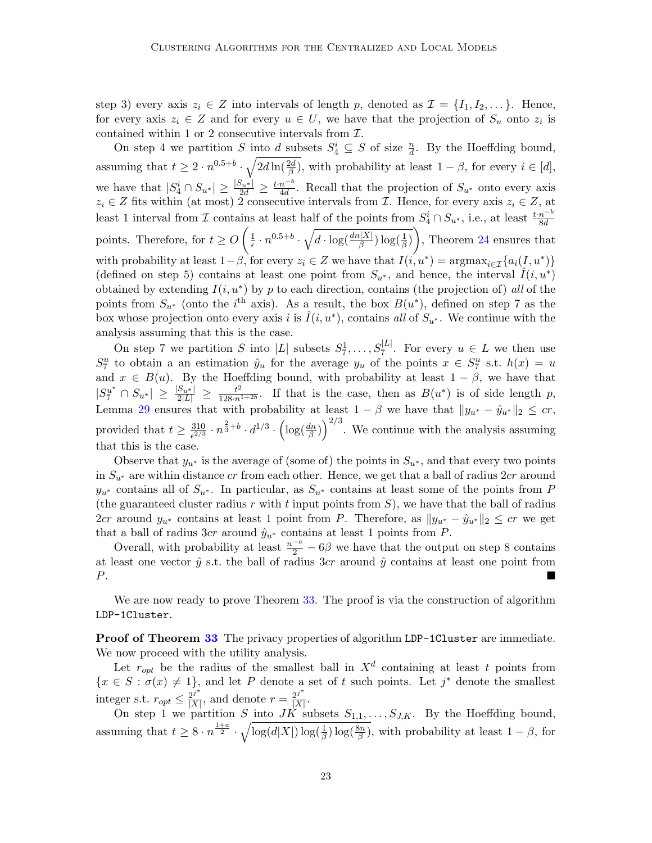step 3) every axis  $z_i \in Z$  into intervals of length p, denoted as  $\mathcal{I} = \{I_1, I_2, \dots\}$ . Hence, for every axis  $z_i \in Z$  and for every  $u \in U$ , we have that the projection of  $S_u$  onto  $z_i$  is contained within 1 or 2 consecutive intervals from  $\mathcal{I}$ .

On step 4 we partition S into d subsets  $S_4^i \subseteq S$  of size  $\frac{n}{d}$ . By the Hoeffding bound, assuming that  $t \geq 2 \cdot n^{0.5+b} \cdot \sqrt{2d \ln(\frac{2d}{\beta})}$ , with probability at least  $1-\beta$ , for every  $i \in [d]$ , we have that  $|S_4^i \cap S_{u^*}| \ge \frac{|S_{u^*}|}{2d} \ge \frac{t \cdot n^{-b}}{4d}$  $\frac{n}{4d}$ . Recall that the projection of  $S_{u^*}$  onto every axis  $z_i \in Z$  fits within (at most) 2 consecutive intervals from  $\mathcal{I}$ . Hence, for every axis  $z_i \in Z$ , at least 1 interval from  $\mathcal I$  contains at least half of the points from  $S_4^i \cap S_{u^*}$ , i.e., at least  $\frac{t \cdot n^{-b}}{8d}$ points. Therefore, for  $t \geq O\left(\frac{1}{\epsilon}\right)$  $\frac{1}{\epsilon} \cdot n^{0.5+b} \cdot \sqrt{d \cdot \log(\frac{dn|X|}{\beta}) \log(\frac{1}{\beta})}$ , Theorem [24](#page-15-2) ensures that with probability at least  $1-\beta$ , for every  $z_i \in Z$  we have that  $I(i, u^*) = \text{argmax}_{i \in \mathcal{I}} \{a_i(I, u^*)\}$ (defined on step 5) contains at least one point from  $S_{u^*}$ , and hence, the interval  $\hat{I}(i, u^*)$ obtained by extending  $I(i, u^*)$  by p to each direction, contains (the projection of) all of the points from  $S_{u^*}$  (onto the i<sup>th</sup> axis). As a result, the box  $B(u^*)$ , defined on step 7 as the box whose projection onto every axis i is  $\hat{I}(i, u^*)$ , contains all of  $S_{u^*}$ . We continue with the analysis assuming that this is the case.

On step 7 we partition S into  $|L|$  subsets  $S_7^1, \ldots, S_7^{|L|}$ . For every  $u \in L$  we then use  $S_7^u$  to obtain a an estimation  $\hat{y}_u$  for the average  $y_u$  of the points  $x \in S_7^u$  s.t.  $h(x) = u$ and  $x \in B(u)$ . By the Hoeffding bound, with probability at least  $1 - \beta$ , we have that  $|S_7^{u^*} \cap S_{u^*}| \geq \frac{|S_{u^*}|}{2|L|} \geq \frac{t^2}{128 \cdot n^2}$  $\frac{t^2}{128\cdot n^{1+2b}}$ . If that is the case, then as  $B(u^*)$  is of side length p, Lemma [29](#page-16-0) ensures that with probability at least  $1 - \beta$  we have that  $||y_{u^*} - \hat{y}_{u^*}||_2 \leq cr$ , provided that  $t \geq \frac{310}{273}$  $rac{310}{2^{2/3}} \cdot n^{\frac{2}{3}+b} \cdot d^{1/3} \cdot \left(\log(\frac{dn}{\beta})\right)^{2/3}$ . We continue with the analysis assuming that this is the case.

Observe that  $y_{u^*}$  is the average of (some of) the points in  $S_{u^*}$ , and that every two points in  $S_{u^*}$  are within distance cr from each other. Hence, we get that a ball of radius  $2cr$  around  $y_{u^*}$  contains all of  $S_{u^*}$ . In particular, as  $S_{u^*}$  contains at least some of the points from P (the guaranteed cluster radius r with t input points from  $S$ ), we have that the ball of radius 2cr around  $y_{u^*}$  contains at least 1 point from P. Therefore, as  $||y_{u^*} - \hat{y}_{u^*}||_2 \leq c r$  we get that a ball of radius 3cr around  $\hat{y}_{u^*}$  contains at least 1 points from P.

Overall, with probability at least  $\frac{n-a}{2} - 6\beta$  we have that the output on step 8 contains at least one vector  $\hat{y}$  s.t. the ball of radius 3cr around  $\hat{y}$  contains at least one point from P.

We are now ready to prove Theorem [33.](#page-19-0) The proof is via the construction of algorithm LDP-1Cluster.

**Proof of Theorem [33](#page-19-0)** The privacy properties of algorithm LDP-1Cluster are immediate. We now proceed with the utility analysis.

Let  $r_{opt}$  be the radius of the smallest ball in  $X^d$  containing at least t points from  ${x \in S : \sigma(x) \neq 1}$ , and let P denote a set of t such points. Let j<sup>\*</sup> denote the smallest integer s.t.  $r_{opt} \leq \frac{2^{j^*}}{|X|}$  $\frac{2^{j^*}}{|X|}$ , and denote  $r = \frac{2^{j^*}}{|X|}$  $\frac{2^j}{|X|}$  .

On step 1 we partition S into JK subsets  $S_{1,1}, \ldots, S_{J,K}$ . By the Hoeffding bound, assuming that  $t \geq 8 \cdot n^{\frac{1+a}{2}} \cdot \sqrt{\log(d|X|) \log(\frac{1}{\beta}) \log(\frac{8n}{\beta})}$ , with probability at least  $1-\beta$ , for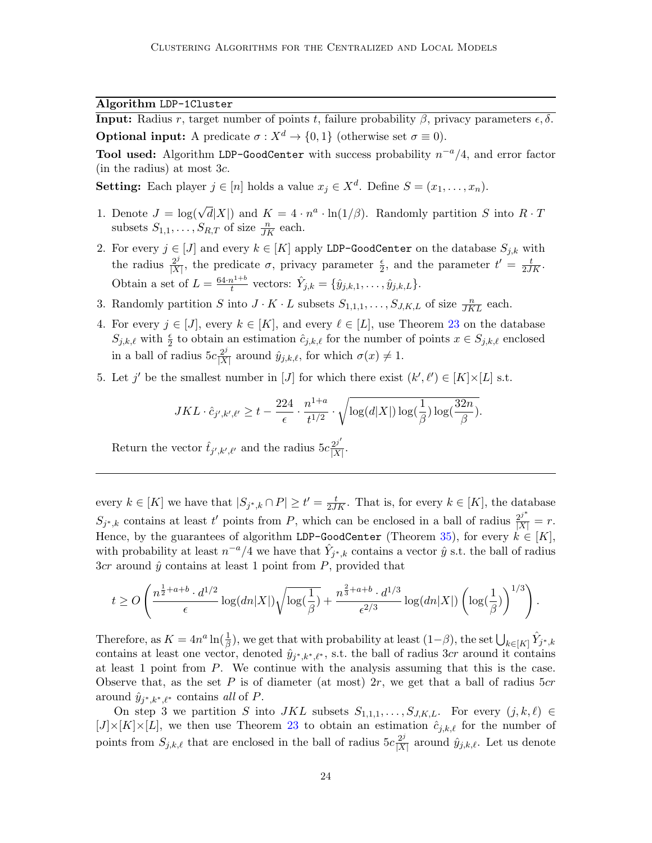Algorithm LDP-1Cluster

**Input:** Radius r, target number of points t, failure probability  $\beta$ , privacy parameters  $\epsilon$ ,  $\delta$ . **Optional input:** A predicate  $\sigma : X^d \to \{0, 1\}$  (otherwise set  $\sigma \equiv 0$ ).

**Tool used:** Algorithm LDP-GoodCenter with success probability  $n^{-a}/4$ , and error factor (in the radius) at most 3c.

**Setting:** Each player  $j \in [n]$  holds a value  $x_j \in X^d$ . Define  $S = (x_1, \ldots, x_n)$ .

- 1. Denote  $J = \log(\sqrt{d}|X|)$  and  $K = 4 \cdot n^a \cdot \ln(1/\beta)$ . Randomly partition S into  $R \cdot T$ subsets  $S_{1,1}, \ldots, S_{R,T}$  of size  $\frac{n}{JK}$  each.
- 2. For every  $j \in [J]$  and every  $k \in [K]$  apply LDP-GoodCenter on the database  $S_{j,k}$  with the radius  $\frac{2^j}{\vert \mathbf{X} \vert}$  $\frac{2^j}{|X|}$ , the predicate  $\sigma$ , privacy parameter  $\frac{\epsilon}{2}$ , and the parameter  $t' = \frac{t}{2JK}$ . Obtain a set of  $L = \frac{64 \cdot n^{1+b}}{t}$  $\hat{t}^{1+b}_{t}$  vectors:  $\hat{Y}_{j,k} = \{\hat{y}_{j,k,1}, \ldots, \hat{y}_{j,k,L}\}.$
- 3. Randomly partition S into  $J \cdot K \cdot L$  subsets  $S_{1,1,1}, \ldots, S_{J,K,L}$  of size  $\frac{n}{JKL}$  each.
- 4. For every  $j \in [J]$ , every  $k \in [K]$ , and every  $\ell \in [L]$ , use Theorem [23](#page-15-0) on the database  $S_{j,k,\ell}$  with  $\frac{\epsilon}{2}$  to obtain an estimation  $\hat{c}_{j,k,\ell}$  for the number of points  $x \in S_{j,k,\ell}$  enclosed in a ball of radius  $5c\frac{2^j}{|X|}$  $\frac{2^j}{|X|}$  around  $\hat{y}_{j,k,\ell}$ , for which  $\sigma(x) \neq 1$ .
- 5. Let j' be the smallest number in [J] for which there exist  $(k', \ell') \in [K] \times [L]$  s.t.

$$
JKL \cdot \hat{c}_{j',k',\ell'} \geq t - \frac{224}{\epsilon} \cdot \frac{n^{1+a}}{t^{1/2}} \cdot \sqrt{\log(d|X|) \log(\frac{1}{\beta}) \log(\frac{32n}{\beta})}.
$$

Return the vector  $\hat{t}_{j',k',\ell'}$  and the radius  $5c \frac{2^{j'}}{|X|}$  $\frac{2^j}{|X|}$ .

every  $k \in [K]$  we have that  $|S_{j^*,k} \cap P| \ge t' = \frac{t}{2JK}$ . That is, for every  $k \in [K]$ , the database  $S_{j^*,k}$  contains at least t' points from P, which can be enclosed in a ball of radius  $\frac{2^{j^*}}{|X|} = r$ . Hence, by the guarantees of algorithm LDP-GoodCenter (Theorem [35\)](#page-19-1), for every  $k \in [K]$ , with probability at least  $n^{-a}/4$  we have that  $\hat{Y}_{j^*,k}$  contains a vector  $\hat{y}$  s.t. the ball of radius  $3cr$  around  $\hat{y}$  contains at least 1 point from P, provided that

$$
t \geq O\left(\frac{n^{\frac{1}{2}+a+b} \cdot d^{1/2}}{\epsilon} \log(dn|X|) \sqrt{\log(\frac{1}{\beta})} + \frac{n^{\frac{2}{3}+a+b} \cdot d^{1/3}}{\epsilon^{2/3}} \log(dn|X|) \left(\log(\frac{1}{\beta})\right)^{1/3}\right).
$$

Therefore, as  $K = 4n^a \ln(\frac{1}{\beta})$ , we get that with probability at least  $(1-\beta)$ , the set  $\bigcup_{k \in [K]} \hat{Y}_{j^*,k}$ contains at least one vector, denoted  $\hat{y}_{j^*,k^*,\ell^*}$ , s.t. the ball of radius 3cr around it contains at least 1 point from P. We continue with the analysis assuming that this is the case. Observe that, as the set P is of diameter (at most)  $2r$ , we get that a ball of radius  $5cr$ around  $\hat{y}_{j^*,k^*,\ell^*}$  contains all of P.

On step 3 we partition S into JKL subsets  $S_{1,1,1}, \ldots, S_{J,K,L}$ . For every  $(j, k, \ell) \in$  $[J] \times [K] \times [L]$ , we then use Theorem [23](#page-15-0) to obtain an estimation  $\hat{c}_{j,k,\ell}$  for the number of points from  $S_{j,k,\ell}$  that are enclosed in the ball of radius  $5c\frac{2^j}{|X|}$  $\frac{2^j}{|X|}$  around  $\hat{y}_{j,k,\ell}$ . Let us denote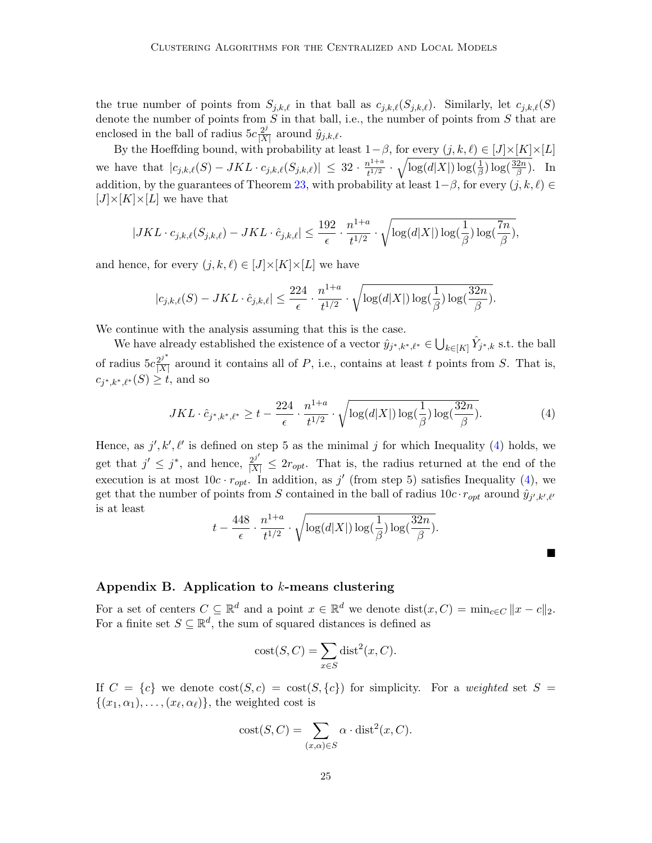the true number of points from  $S_{j,k,\ell}$  in that ball as  $c_{j,k,\ell}(S_{j,k,\ell})$ . Similarly, let  $c_{j,k,\ell}(S)$ denote the number of points from  $S$  in that ball, i.e., the number of points from  $S$  that are enclosed in the ball of radius  $5c\frac{2^j}{|X|}$  $\frac{2^j}{|X|}$  around  $\hat{y}_{j,k,\ell}$ .

By the Hoeffding bound, with probability at least  $1-\beta$ , for every  $(j, k, \ell) \in [J] \times [K] \times [L]$ we have that  $|c_{j,k,\ell}(S) - JKL \cdot c_{j,k,\ell}(S_{j,k,\ell})| \leq 32 \cdot \frac{n^{1+a}}{t^{1/2}}$  $\frac{h^{1+a}}{t^{1/2}} \cdot \sqrt{\log(d|X|) \log(\frac{1}{\beta}) \log(\frac{32n}{\beta})}$ . In addition, by the guarantees of Theorem [23,](#page-15-0) with probability at least  $1-\beta$ , for every  $(j, k, \ell) \in$  $[J] \times [K] \times [L]$  we have that

$$
|JKL \cdot c_{j,k,\ell}(S_{j,k,\ell}) - JKL \cdot \hat{c}_{j,k,\ell}| \leq \frac{192}{\epsilon} \cdot \frac{n^{1+a}}{t^{1/2}} \cdot \sqrt{\log(d|X|) \log(\frac{1}{\beta}) \log(\frac{7n}{\beta})},
$$

and hence, for every  $(j, k, \ell) \in [J] \times [K] \times [L]$  we have

$$
|c_{j,k,\ell}(S)-JKL\cdot \hat c_{j,k,\ell}|\leq \frac{224}{\epsilon}\cdot \frac{n^{1+a}}{t^{1/2}}\cdot \sqrt{\log(d|X|)\log(\frac{1}{\beta})\log(\frac{32n}{\beta})}.
$$

We continue with the analysis assuming that this is the case.

We have already established the existence of a vector  $\hat{y}_{j^*,k^*,\ell^*} \in \bigcup_{k \in [K]} \hat{Y}_{j^*,k}$  s.t. the ball of radius  $5c \frac{2^{j^*}}{|X|}$  $\frac{2^j}{|X|}$  around it contains all of P, i.e., contains at least t points from S. That is,  $c_{j^*,k^*,\ell^*}(S) \geq t$ , and so

<span id="page-24-1"></span>
$$
JKL \cdot \hat{c}_{j^*,k^*,\ell^*} \ge t - \frac{224}{\epsilon} \cdot \frac{n^{1+a}}{t^{1/2}} \cdot \sqrt{\log(d|X|) \log(\frac{1}{\beta}) \log(\frac{32n}{\beta})}.
$$
 (4)

 $\blacksquare$ 

Hence, as  $j', k', \ell'$  is defined on step 5 as the minimal j for which Inequality [\(4\)](#page-24-1) holds, we get that  $j' \leq j^*$ , and hence,  $\frac{2^{j'}}{|X|} \leq 2r_{opt}$ . That is, the radius returned at the end of the execution is at most  $10c \cdot r_{opt}$ . In addition, as j' (from step 5) satisfies Inequality [\(4\)](#page-24-1), we get that the number of points from S contained in the ball of radius  $10c \cdot r_{opt}$  around  $\hat{y}_{j',k',\ell'}$ is at least

$$
t - \frac{448}{\epsilon} \cdot \frac{n^{1+a}}{t^{1/2}} \cdot \sqrt{\log(d|X|) \log(\frac{1}{\beta}) \log(\frac{32n}{\beta})}.
$$

## <span id="page-24-0"></span>Appendix B. Application to k-means clustering

For a set of centers  $C \subseteq \mathbb{R}^d$  and a point  $x \in \mathbb{R}^d$  we denote  $dist(x, C) = min_{c \in C} ||x - c||_2$ . For a finite set  $S \subseteq \mathbb{R}^d$ , the sum of squared distances is defined as

$$
cost(S, C) = \sum_{x \in S} dist^{2}(x, C).
$$

If  $C = \{c\}$  we denote  $\text{cost}(S, c) = \text{cost}(S, \{c\})$  for simplicity. For a weighted set  $S =$  $\{(x_1,\alpha_1),\ldots,(x_\ell,\alpha_\ell)\}\,$  the weighted cost is

$$
cost(S, C) = \sum_{(x, \alpha) \in S} \alpha \cdot dist^{2}(x, C).
$$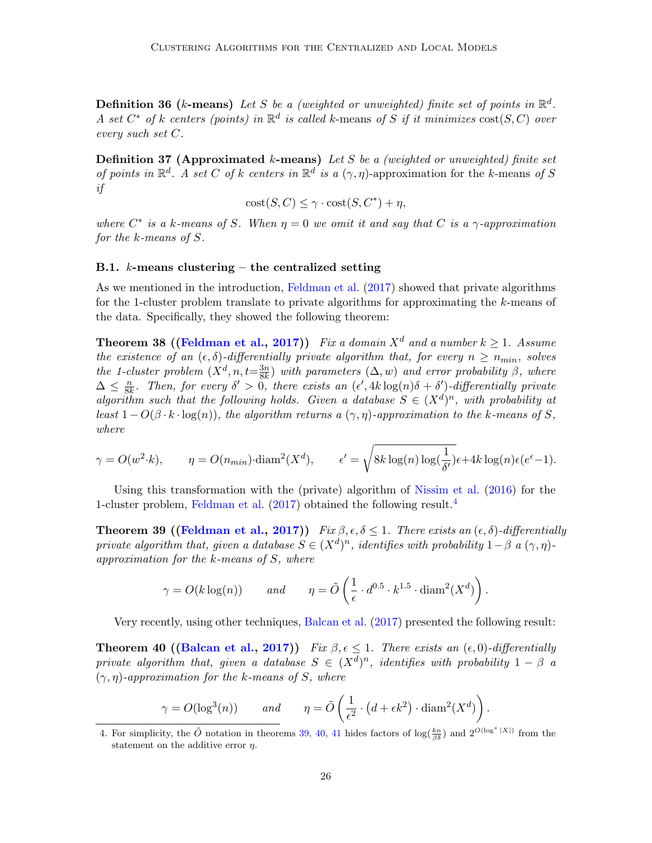**Definition 36 (k-means)** Let S be a (weighted or unweighted) finite set of points in  $\mathbb{R}^d$ . A set  $C^*$  of k centers (points) in  $\mathbb{R}^d$  is called k-means of S if it minimizes  $cost(S, C)$  over every such set C.

**Definition 37 (Approximated k-means)** Let S be a (weighted or unweighted) finite set of points in  $\mathbb{R}^d$ . A set C of k centers in  $\mathbb{R}^d$  is a  $(\gamma, \eta)$ -approximation for the k-means of S if

$$
cost(S, C) \le \gamma \cdot cost(S, C^*) + \eta,
$$

where  $C^*$  is a k-means of S. When  $\eta = 0$  we omit it and say that C is a  $\gamma$ -approximation for the k-means of S.

## B.1.  $k$ -means clustering – the centralized setting

As we mentioned in the introduction, [Feldman et al.](#page-13-1) [\(2017\)](#page-13-1) showed that private algorithms for the 1-cluster problem translate to private algorithms for approximating the k-means of the data. Specifically, they showed the following theorem:

<span id="page-25-3"></span>**Theorem 38 ([\(Feldman et al.,](#page-13-1) [2017\)](#page-13-1))** Fix a domain  $X^d$  and a number  $k \geq 1$ . Assume the existence of an  $(\epsilon, \delta)$ -differentially private algorithm that, for every  $n \geq n_{min}$ , solves the 1-cluster problem  $(X^d, n, t = \frac{3n}{8k})$  $\frac{3n}{8k}$ ) with parameters  $(\Delta, w)$  and error probability  $\beta$ , where  $\Delta \leq \frac{n}{8l}$  $\frac{n}{8k}$ . Then, for every  $\delta' > 0$ , there exists an  $(\epsilon', 4k \log(n)\delta + \delta')$ -differentially private algorithm such that the following holds. Given a database  $S \in (X^d)^n$ , with probability at least  $1 - O(\beta \cdot k \cdot \log(n))$ , the algorithm returns a  $(\gamma, \eta)$ -approximation to the k-means of S, where

$$
\gamma = O(w^2 \cdot k), \qquad \eta = O(n_{min}) \cdot \text{diam}^2(X^d), \qquad \epsilon' = \sqrt{8k \log(n) \log(\frac{1}{\delta'})} \epsilon + 4k \log(n) \epsilon(e^{\epsilon} - 1).
$$

Using this transformation with the (private) algorithm of [Nissim et al.](#page-14-0) [\(2016\)](#page-14-0) for the 1-cluster problem, [Feldman et al.](#page-13-1)  $(2017)$  obtained the following result.<sup>[4](#page-25-0)</sup>

<span id="page-25-1"></span>**Theorem 39 ([\(Feldman et al.,](#page-13-1) [2017\)](#page-13-1))** Fix  $\beta$ ,  $\epsilon$ ,  $\delta$  < 1. There exists an  $(\epsilon, \delta)$ -differentially private algorithm that, given a database  $S \in (X^d)^n$ , identifies with probability  $1-\beta$  a  $(\gamma, \eta)$ approximation for the k-means of S, where

$$
\gamma = O(k \log(n))
$$
 and  $\eta = \tilde{O}\left(\frac{1}{\epsilon} \cdot d^{0.5} \cdot k^{1.5} \cdot \text{diam}^2(X^d)\right).$ 

Very recently, using other techniques, [Balcan et al.](#page-12-9) [\(2017\)](#page-12-9) presented the following result:

<span id="page-25-2"></span>**Theorem 40 ([\(Balcan et al.,](#page-12-9) [2017\)](#page-12-9))** Fix  $\beta, \epsilon \leq 1$ . There exists an  $(\epsilon, 0)$ -differentially private algorithm that, given a database  $S \in (X^d)^n$ , identifies with probability  $1 - \beta$  a  $(\gamma, \eta)$ -approximation for the k-means of S, where

$$
\gamma = O(\log^3(n)) \qquad \text{and} \qquad \eta = \tilde{O}\left(\frac{1}{\epsilon^2} \cdot \left(d + \epsilon k^2\right) \cdot \text{diam}^2(X^d)\right).
$$

<span id="page-25-0"></span><sup>4.</sup> For simplicity, the  $\tilde{O}$  notation in theorems [39,](#page-25-1) [40,](#page-25-2) [41](#page-26-0) hides factors of  $\log(\frac{k_n}{\beta \delta})$  and  $2^{O(\log^*|X|)}$  from the statement on the additive error  $\eta$ .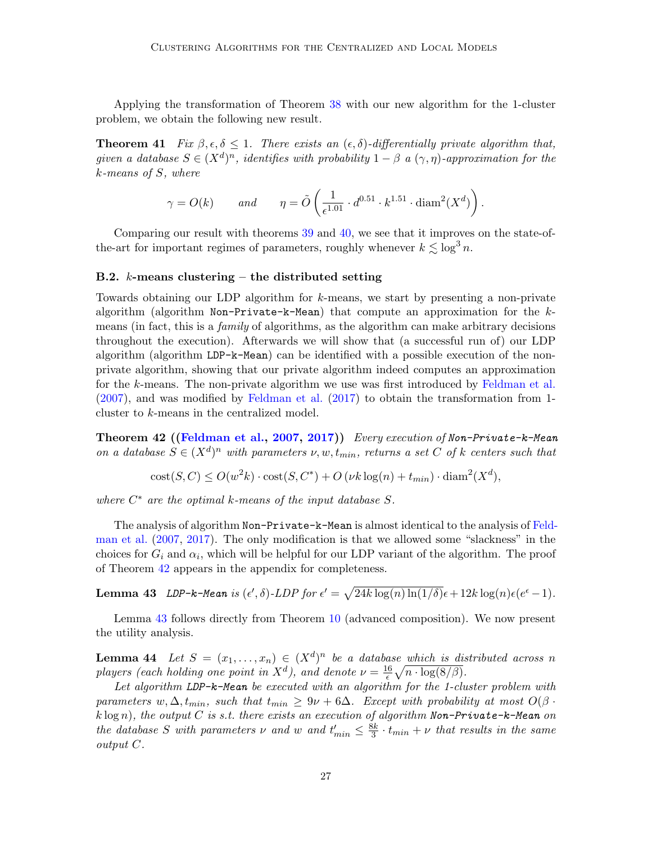Applying the transformation of Theorem [38](#page-25-3) with our new algorithm for the 1-cluster problem, we obtain the following new result.

<span id="page-26-0"></span>**Theorem 41** Fix  $\beta, \epsilon, \delta \leq 1$ . There exists an  $(\epsilon, \delta)$ -differentially private algorithm that, given a database  $S \in (X^d)^n$ , identifies with probability  $1 - \beta$  a  $(\gamma, \eta)$ -approximation for the k-means of S, where

$$
\gamma = O(k)
$$
 and  $\eta = \tilde{O}\left(\frac{1}{\epsilon^{1.01}} \cdot d^{0.51} \cdot k^{1.51} \cdot \text{diam}^2(X^d)\right).$ 

Comparing our result with theorems [39](#page-25-1) and [40,](#page-25-2) we see that it improves on the state-ofthe-art for important regimes of parameters, roughly whenever  $k \lesssim \log^3 n$ .

#### **B.2.** k-means clustering – the distributed setting

Towards obtaining our LDP algorithm for k-means, we start by presenting a non-private algorithm (algorithm Non-Private-k-Mean) that compute an approximation for the kmeans (in fact, this is a *family* of algorithms, as the algorithm can make arbitrary decisions throughout the execution). Afterwards we will show that (a successful run of) our LDP algorithm (algorithm LDP-k-Mean) can be identified with a possible execution of the nonprivate algorithm, showing that our private algorithm indeed computes an approximation for the k-means. The non-private algorithm we use was first introduced by [Feldman et al.](#page-13-9) [\(2007\)](#page-13-9), and was modified by [Feldman et al.](#page-13-1) [\(2017\)](#page-13-1) to obtain the transformation from 1 cluster to k-means in the centralized model.

<span id="page-26-1"></span>Theorem 42 ([\(Feldman et al.,](#page-13-9) [2007,](#page-13-9) [2017\)](#page-13-1)) Every execution of Non-Private-k-Mean on a database  $S \in (X^d)^n$  with parameters  $\nu, w, t_{min}$ , returns a set C of k centers such that

$$
cost(S, C) \le O(w2k) \cdot cost(S, C^*) + O(\nu k \log(n) + t_{min}) \cdot diam2(Xd),
$$

where  $C^*$  are the optimal k-means of the input database  $S$ .

The analysis of algorithm Non-Private-k-Mean is almost identical to the analysis of [Feld](#page-13-9)[man et al.](#page-13-9) [\(2007,](#page-13-9) [2017\)](#page-13-1). The only modification is that we allowed some "slackness" in the choices for  $G_i$  and  $\alpha_i$ , which will be helpful for our LDP variant of the algorithm. The proof of Theorem [42](#page-26-1) appears in the appendix for completeness.

<span id="page-26-2"></span>**Lemma 43** LDP-k-Mean is  $(\epsilon', \delta)$ -LDP for  $\epsilon' = \sqrt{24k \log(n) \ln(1/\delta)} \epsilon + 12k \log(n) \epsilon(e^{\epsilon} - 1)$ .

Lemma [43](#page-26-2) follows directly from Theorem [10](#page-4-4) (advanced composition). We now present the utility analysis.

<span id="page-26-3"></span>**Lemma 44** Let  $S = (x_1, \ldots, x_n) \in (X^d)^n$  be a database which is distributed across n players (each holding one point in  $X^d$ ), and denote  $\nu = \frac{16}{5}$  $\frac{16}{\epsilon}\sqrt{n\cdot\log(8/\beta)}.$ 

Let algorithm LDP-k-Mean be executed with an algorithm for the 1-cluster problem with parameters w,  $\Delta$ ,  $t_{min}$ , such that  $t_{min} \geq 9\nu + 6\Delta$ . Except with probability at most  $O(\beta \cdot \Delta)$  $k \log n$ , the output C is s.t. there exists an execution of algorithm Non-Private-k-Mean on the database S with parameters  $\nu$  and w and  $t'_{min} \leq \frac{8k}{3}$  $\frac{3k}{3} \cdot t_{min} + \nu$  that results in the same output C.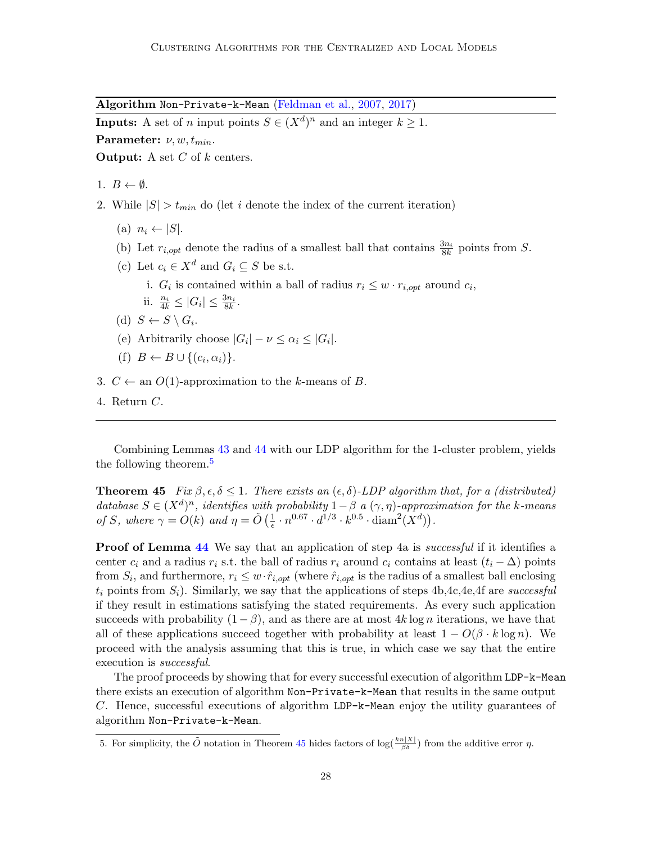Algorithm Non-Private-k-Mean [\(Feldman et al.,](#page-13-9) [2007,](#page-13-9) [2017\)](#page-13-1)

**Inputs:** A set of *n* input points  $S \in (X^d)^n$  and an integer  $k \geq 1$ .

Parameter:  $\nu, w, t_{min}$ .

**Output:** A set  $C$  of  $k$  centers.

1.  $B \leftarrow \emptyset$ .

- 2. While  $|S| > t_{min}$  do (let i denote the index of the current iteration)
	- (a)  $n_i \leftarrow |S|$ .
	- (b) Let  $r_{i,opt}$  denote the radius of a smallest ball that contains  $\frac{3n_i}{8k}$  points from S.
	- (c) Let  $c_i \in X^d$  and  $G_i \subseteq S$  be s.t.
		- i.  $G_i$  is contained within a ball of radius  $r_i \leq w \cdot r_{i,opt}$  around  $c_i$ ,
		- ii.  $\frac{n_i}{4k} \leq |G_i| \leq \frac{3n_i}{8k}$ .
	- (d)  $S \leftarrow S \setminus G_i$ .
	- (e) Arbitrarily choose  $|G_i| \nu \leq \alpha_i \leq |G_i|$ .
	- (f)  $B \leftarrow B \cup \{(c_i, \alpha_i)\}.$
- 3.  $C \leftarrow$  an  $O(1)$ -approximation to the k-means of B.
- 4. Return C.

Combining Lemmas [43](#page-26-2) and [44](#page-26-3) with our LDP algorithm for the 1-cluster problem, yields the following theorem.[5](#page-27-0)

<span id="page-27-1"></span>**Theorem 45** Fix  $\beta, \epsilon, \delta \leq 1$ . There exists an  $(\epsilon, \delta)$ -LDP algorithm that, for a (distributed) database  $S \in (X^d)^n$ , identifies with probability  $1-\beta$  a  $(\gamma, \eta)$ -approximation for the k-means of S, where  $\gamma = O(k)$  and  $\eta = \tilde{O}(\frac{1}{\epsilon})$  $\frac{1}{\epsilon} \cdot n^{0.67} \cdot d^{1/3} \cdot k^{0.5} \cdot \text{diam}^2(X^d)).$ 

**Proof of Lemma [44](#page-26-3)** We say that an application of step 4a is *successful* if it identifies a center  $c_i$  and a radius  $r_i$  s.t. the ball of radius  $r_i$  around  $c_i$  contains at least  $(t_i - \Delta)$  points from  $S_i$ , and furthermore,  $r_i \leq w \cdot \hat{r}_{i,opt}$  (where  $\hat{r}_{i,opt}$  is the radius of a smallest ball enclosing  $t_i$  points from  $S_i$ ). Similarly, we say that the applications of steps 4b,4c,4e,4f are successful if they result in estimations satisfying the stated requirements. As every such application succeeds with probability  $(1 - \beta)$ , and as there are at most 4k log n iterations, we have that all of these applications succeed together with probability at least  $1 - O(\beta \cdot k \log n)$ . We proceed with the analysis assuming that this is true, in which case we say that the entire execution is *successful*.

The proof proceeds by showing that for every successful execution of algorithm LDP-k-Mean there exists an execution of algorithm Non-Private-k-Mean that results in the same output C. Hence, successful executions of algorithm LDP-k-Mean enjoy the utility guarantees of algorithm Non-Private-k-Mean.

<span id="page-27-0"></span><sup>5.</sup> For simplicity, the  $\tilde{O}$  notation in Theorem [45](#page-27-1) hides factors of  $\log(\frac{k_n|X|}{\beta \delta})$  from the additive error  $\eta$ .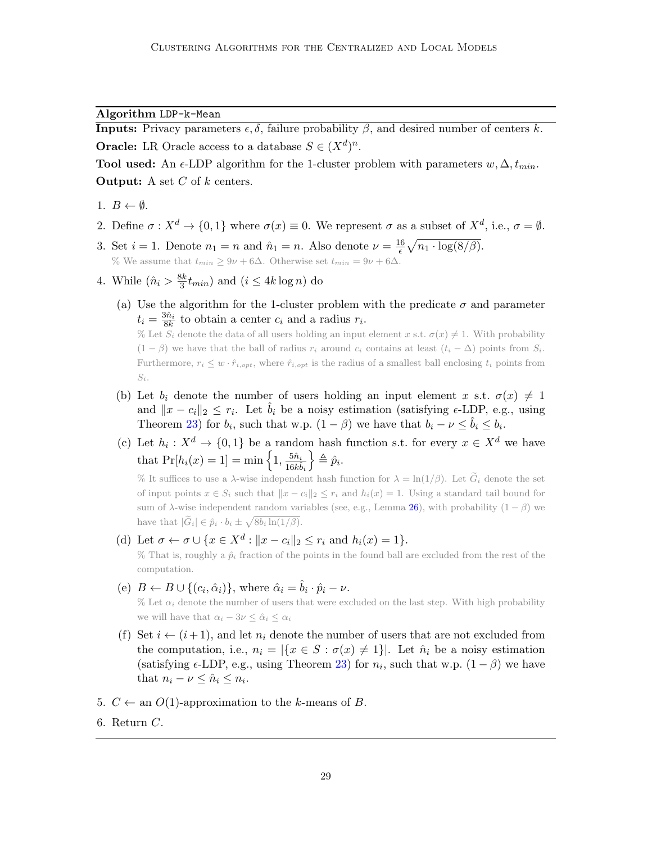## Algorithm LDP-k-Mean

**Inputs:** Privacy parameters  $\epsilon$ ,  $\delta$ , failure probability  $\beta$ , and desired number of centers k. **Oracle:** LR Oracle access to a database  $S \in (X^d)^n$ .

Tool used: An  $\epsilon$ -LDP algorithm for the 1-cluster problem with parameters  $w, \Delta, t_{min}$ . **Output:** A set  $C$  of  $k$  centers.

- 1.  $B \leftarrow \emptyset$ .
- 2. Define  $\sigma: X^d \to \{0,1\}$  where  $\sigma(x) \equiv 0$ . We represent  $\sigma$  as a subset of  $X^d$ , i.e.,  $\sigma = \emptyset$ .
- 3. Set  $i = 1$ . Denote  $n_1 = n$  and  $\hat{n}_1 = n$ . Also denote  $\nu = \frac{16}{6}$  $\frac{16}{\epsilon}\sqrt{n_1\cdot\log(8/\beta)}.$ % We assume that  $t_{min} \geq 9\nu + 6\Delta$ . Otherwise set  $t_{min} = 9\nu + 6\Delta$ .
- 4. While  $(\hat{n}_i > \frac{8k}{3})$  $\frac{3k}{3}t_{min}$ ) and  $(i \leq 4k \log n)$  do
	- (a) Use the algorithm for the 1-cluster problem with the predicate  $\sigma$  and parameter  $t_i = \frac{3\hat{n}_i}{8k}$  to obtain a center  $c_i$  and a radius  $r_i$ .

% Let  $S_i$  denote the data of all users holding an input element x s.t.  $\sigma(x) \neq 1$ . With probability  $(1 - \beta)$  we have that the ball of radius  $r_i$  around  $c_i$  contains at least  $(t_i - \Delta)$  points from  $S_i$ . Furthermore,  $r_i \leq w \cdot \hat{r}_{i, opt}$ , where  $\hat{r}_{i, opt}$  is the radius of a smallest ball enclosing  $t_i$  points from  $S_i$ .

- (b) Let  $b_i$  denote the number of users holding an input element x s.t.  $\sigma(x) \neq 1$ and  $||x - c_i||_2 \leq r_i$ . Let  $\hat{b}_i$  be a noisy estimation (satisfying  $\epsilon$ -LDP, e.g., using Theorem [23\)](#page-15-0) for  $b_i$ , such that w.p.  $(1 - \beta)$  we have that  $b_i - \nu \leq \hat{b}_i \leq b_i$ .
- (c) Let  $h_i: X^d \to \{0,1\}$  be a random hash function s.t. for every  $x \in X^d$  we have that  $Pr[h_i(x) = 1] = \min\left\{1, \frac{5\hat{n}_i}{16h}\right\}$  $\overline{16k}\hat{b}_i$  $\big\} \triangleq \hat{p}_i.$

% It suffices to use a  $\lambda$ -wise independent hash function for  $\lambda = \ln(1/\beta)$ . Let  $G_i$  denote the set of input points  $x \in S_i$  such that  $||x - c_i||_2 \leq r_i$  and  $h_i(x) = 1$ . Using a standard tail bound for sum of  $\lambda$ -wise independent random variables (see, e.g., Lemma [26\)](#page-15-3), with probability  $(1 - \beta)$  we have that  $|\widetilde{G}_i| \in \hat{p}_i \cdot b_i \pm \sqrt{8b_i \ln(1/\beta)}$ .

- (d) Let  $\sigma \leftarrow \sigma \cup \{x \in X^d : ||x c_i||_2 \le r_i \text{ and } h_i(x) = 1\}.$ % That is, roughly a  $\hat{p}_i$  fraction of the points in the found ball are excluded from the rest of the computation.
- (e)  $B \leftarrow B \cup \{(c_i, \hat{\alpha}_i)\}\$ , where  $\hat{\alpha}_i = \hat{b}_i \cdot \hat{p}_i \nu$ . % Let  $\alpha_i$  denote the number of users that were excluded on the last step. With high probability we will have that  $\alpha_i - 3\nu \leq \hat{\alpha}_i \leq \alpha_i$
- (f) Set  $i \leftarrow (i+1)$ , and let  $n_i$  denote the number of users that are not excluded from the computation, i.e.,  $n_i = |\{x \in S : \sigma(x) \neq 1\}|$ . Let  $\hat{n}_i$  be a noisy estimation (satisfying  $\epsilon$ -LDP, e.g., using Theorem [23\)](#page-15-0) for  $n_i$ , such that w.p.  $(1 - \beta)$  we have that  $n_i - \nu \leq \hat{n}_i \leq n_i$ .
- 5.  $C \leftarrow$  an  $O(1)$ -approximation to the k-means of B.
- 6. Return C.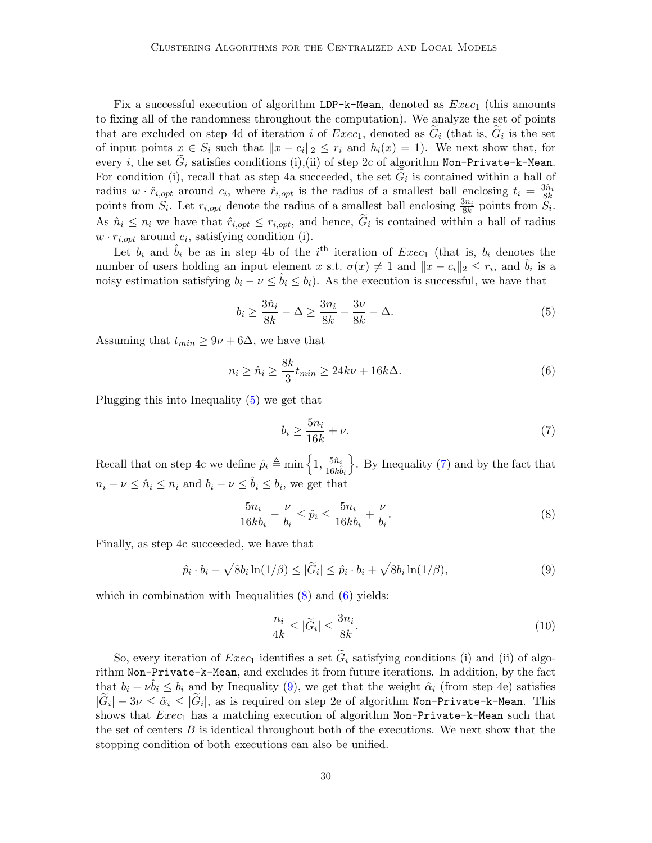Fix a successful execution of algorithm LDP-k-Mean, denoted as  $Exec_1$  (this amounts to fixing all of the randomness throughout the computation). We analyze the set of points that are excluded on step 4d of iteration i of  $Exec_1$ , denoted as  $G_i$  (that is,  $G_i$  is the set of input points  $x \in S_i$  such that  $||x - c_i||_2 \leq r_i$  and  $h_i(x) = 1$ . We next show that, for every i, the set  $G_i$  satisfies conditions (i),(ii) of step 2c of algorithm Non-Private-k-Mean. For condition (i), recall that as step 4a succeeded, the set  $G_i$  is contained within a ball of radius  $w \cdot \hat{r}_{i,opt}$  around  $c_i$ , where  $\hat{r}_{i,opt}$  is the radius of a smallest ball enclosing  $t_i = \frac{3\hat{n}_i}{8k}$ points from  $S_i$ . Let  $r_{i,opt}$  denote the radius of a smallest ball enclosing  $\frac{3n_i}{8k}$  points from  $S_i$ . As  $\hat{n}_i \leq n_i$  we have that  $\hat{r}_{i,opt} \leq r_{i,opt}$ , and hence,  $G_i$  is contained within a ball of radius  $w \cdot r_{i,opt}$  around  $c_i$ , satisfying condition (i).

Let  $b_i$  and  $\hat{b}_i$  be as in step 4b of the i<sup>th</sup> iteration of  $Exec_1$  (that is,  $b_i$  denotes the number of users holding an input element x s.t.  $\sigma(x) \neq 1$  and  $||x - c_i||_2 \leq r_i$ , and  $\hat{b}_i$  is a noisy estimation satisfying  $b_i - \nu \leq \hat{b}_i \leq b_i$ ). As the execution is successful, we have that

<span id="page-29-0"></span>
$$
b_i \ge \frac{3\hat{n}_i}{8k} - \Delta \ge \frac{3n_i}{8k} - \frac{3\nu}{8k} - \Delta.
$$
 (5)

Assuming that  $t_{min} \geq 9\nu + 6\Delta$ , we have that

<span id="page-29-3"></span>
$$
n_i \ge \hat{n}_i \ge \frac{8k}{3} t_{min} \ge 24k\nu + 16k\Delta. \tag{6}
$$

Plugging this into Inequality [\(5\)](#page-29-0) we get that

<span id="page-29-1"></span>
$$
b_i \ge \frac{5n_i}{16k} + \nu. \tag{7}
$$

Recall that on step 4c we define  $\hat{p}_i \triangleq \min \left\{ 1, \frac{5\hat{n}_i}{16h} \right\}$  $16k\hat{b}_i$  $\}$ . By Inequality [\(7\)](#page-29-1) and by the fact that  $n_i - \nu \leq \hat{n}_i \leq n_i$  and  $b_i - \nu \leq \hat{b}_i \leq b_i$ , we get that

<span id="page-29-2"></span>
$$
\frac{5n_i}{16kb_i} - \frac{\nu}{b_i} \le \hat{p}_i \le \frac{5n_i}{16kb_i} + \frac{\nu}{b_i}.\tag{8}
$$

Finally, as step 4c succeeded, we have that

<span id="page-29-4"></span>
$$
\hat{p}_i \cdot b_i - \sqrt{8b_i \ln(1/\beta)} \le |\widetilde{G}_i| \le \hat{p}_i \cdot b_i + \sqrt{8b_i \ln(1/\beta)},\tag{9}
$$

which in combination with Inequalities  $(8)$  and  $(6)$  yields:

$$
\frac{n_i}{4k} \le |\tilde{G}_i| \le \frac{3n_i}{8k}.\tag{10}
$$

So, every iteration of  $Exec_1$  identifies a set  $\tilde{G}_i$  satisfying conditions (i) and (ii) of algorithm Non-Private-k-Mean, and excludes it from future iterations. In addition, by the fact that  $b_i - \nu \hat{b}_i \leq b_i$  and by Inequality [\(9\)](#page-29-4), we get that the weight  $\hat{\alpha}_i$  (from step 4e) satisfies  $|G_i| - 3\nu \leq \hat{\alpha}_i \leq |G_i|$ , as is required on step 2e of algorithm Non-Private-k-Mean. This shows that  $Exec_1$  has a matching execution of algorithm Non-Private-k-Mean such that the set of centers  $B$  is identical throughout both of the executions. We next show that the stopping condition of both executions can also be unified.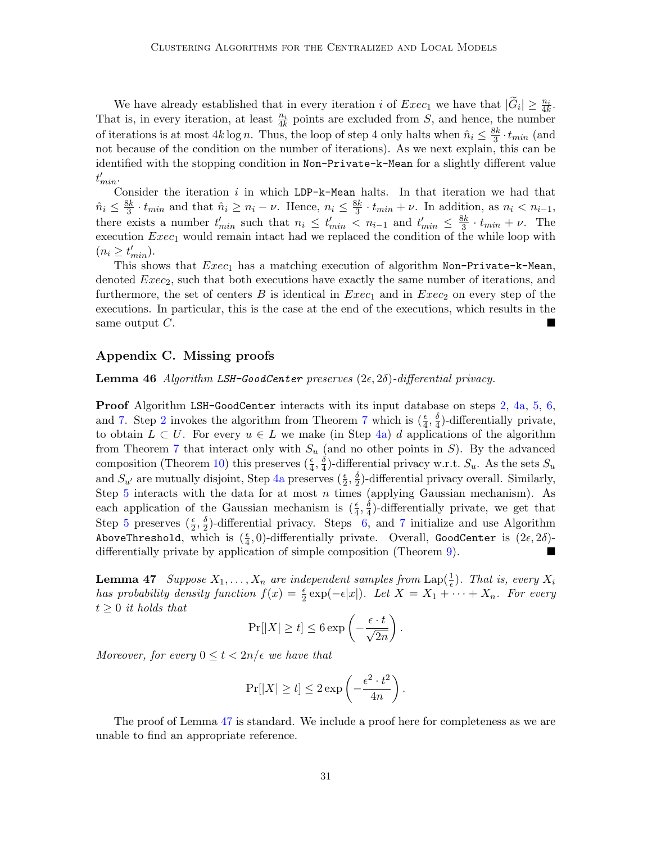We have already established that in every iteration i of  $Exec_1$  we have that  $|\widetilde{G}_i| \geq \frac{n_i}{4k}$ . That is, in every iteration, at least  $\frac{n_i}{4k}$  points are excluded from S, and hence, the number of iterations is at most  $4k \log n$ . Thus, the loop of step 4 only halts when  $\hat{n}_i \leq \frac{8k}{3}$  $\frac{3k}{3} \cdot t_{min}$  (and not because of the condition on the number of iterations). As we next explain, this can be identified with the stopping condition in Non-Private-k-Mean for a slightly different value  $t'_{min}$ .

Consider the iteration i in which LDP-k-Mean halts. In that iteration we had that  $\hat{n}_i \leq \frac{8k}{3}$  $\frac{3k}{3} \cdot t_{min}$  and that  $\hat{n}_i \geq n_i - \nu$ . Hence,  $n_i \leq \frac{8k}{3}$  $\frac{3k}{3} \cdot t_{min} + \nu$ . In addition, as  $n_i < n_{i-1}$ , there exists a number  $t'_{min}$  such that  $n_i \leq t'_{min} < n_{i-1}$  and  $t'_{min} \leq \frac{8k}{3}$  $\frac{3k}{3} \cdot t_{min} + \nu$ . The execution  $Exec_1$  would remain intact had we replaced the condition of the while loop with  $(n_i \geq t'_{min}).$ 

This shows that  $Exec_1$  has a matching execution of algorithm Non-Private-k-Mean, denoted  $Exec_2$ , such that both executions have exactly the same number of iterations, and furthermore, the set of centers B is identical in  $Exec_1$  and in  $Exec_2$  on every step of the executions. In particular, this is the case at the end of the executions, which results in the same output  $C$ .

## <span id="page-30-0"></span>Appendix C. Missing proofs

**Lemma 46** Algorithm LSH-GoodCenter preserves  $(2\epsilon, 2\delta)$ -differential privacy.

Proof Algorithm LSH-GoodCenter interacts with its input database on steps [2,](#page-11-2) [4a,](#page-11-5) [5,](#page-11-4) [6,](#page-11-6) and [7.](#page-11-0) Step [2](#page-11-2) invokes the algorithm from Theorem [7](#page-4-0) which is  $(\frac{\epsilon}{4}, \frac{\delta}{4})$  $\frac{1}{4}$ )-differentially private, to obtain  $L \subset U$ . For every  $u \in L$  we make (in Step [4a\)](#page-11-5) d applications of the algorithm from Theorem [7](#page-4-0) that interact only with  $S_u$  (and no other points in S). By the advanced composition (Theorem [10\)](#page-4-4) this preserves  $(\frac{\epsilon}{4}, \frac{\delta}{4})$  $\frac{3}{4}$ )-differential privacy w.r.t.  $S_u$ . As the sets  $S_u$ and  $S_{u'}$  are mutually disjoint, Step [4a](#page-11-5) preserves  $(\frac{\epsilon}{2}, \frac{\delta}{2})$  $\frac{3}{2}$ )-differential privacy overall. Similarly, Step [5](#page-11-4) interacts with the data for at most  $n$  times (applying Gaussian mechanism). As each application of the Gaussian mechanism is  $(\frac{\epsilon}{4}, \frac{\delta}{4})$  $\frac{3}{4}$ )-differentially private, we get that Step [5](#page-11-4) preserves  $(\frac{\epsilon}{2}, \frac{\delta}{2})$  $\frac{3}{2}$ -differential privacy. Steps [6,](#page-11-6) and [7](#page-11-0) initialize and use Algorithm AboveThreshold, which is  $(\frac{\epsilon}{4}, 0)$ -differentially private. Overall, GoodCenter is  $(2\epsilon, 2\delta)$ differentially private by application of simple composition (Theorem [9\)](#page-4-5).

<span id="page-30-1"></span>**Lemma 47** Suppose  $X_1, \ldots, X_n$  are independent samples from  $\text{Lap}(\frac{1}{\epsilon})$ . That is, every  $X_i$ has probability density function  $f(x) = \frac{\epsilon}{2} \exp(-\epsilon |x|)$ . Let  $X = X_1 + \cdots + X_n$ . For every  $t \geq 0$  it holds that

$$
\Pr[|X| \ge t] \le 6 \exp\left(-\frac{\epsilon \cdot t}{\sqrt{2n}}\right).
$$

Moreover, for every  $0 \le t < 2n/\epsilon$  we have that

$$
\Pr[|X| \ge t] \le 2 \exp\left(-\frac{\epsilon^2 \cdot t^2}{4n}\right).
$$

The proof of Lemma [47](#page-30-1) is standard. We include a proof here for completeness as we are unable to find an appropriate reference.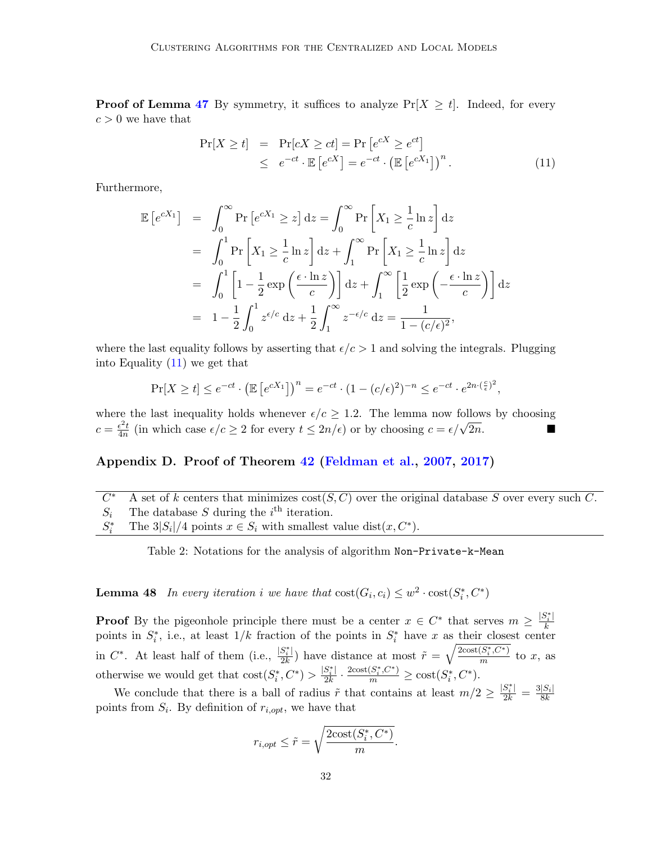**Proof of Lemma [47](#page-30-1)** By symmetry, it suffices to analyze  $Pr[X \ge t]$ . Indeed, for every  $c > 0$  we have that

<span id="page-31-0"></span>
$$
\Pr[X \ge t] = \Pr[cX \ge ct] = \Pr\left[e^{cX} \ge e^{ct}\right] \\
\le e^{-ct} \cdot \mathbb{E}\left[e^{cX}\right] = e^{-ct} \cdot \left(\mathbb{E}\left[e^{cX_1}\right]\right)^n.
$$
\n(11)

Furthermore,

$$
\mathbb{E}\left[e^{cX_1}\right] = \int_0^\infty \Pr\left[e^{cX_1} \ge z\right] dz = \int_0^\infty \Pr\left[X_1 \ge \frac{1}{c} \ln z\right] dz
$$
  
\n
$$
= \int_0^1 \Pr\left[X_1 \ge \frac{1}{c} \ln z\right] dz + \int_1^\infty \Pr\left[X_1 \ge \frac{1}{c} \ln z\right] dz
$$
  
\n
$$
= \int_0^1 \left[1 - \frac{1}{2} \exp\left(\frac{\epsilon \cdot \ln z}{c}\right)\right] dz + \int_1^\infty \left[\frac{1}{2} \exp\left(-\frac{\epsilon \cdot \ln z}{c}\right)\right] dz
$$
  
\n
$$
= 1 - \frac{1}{2} \int_0^1 z^{\epsilon/c} dz + \frac{1}{2} \int_1^\infty z^{-\epsilon/c} dz = \frac{1}{1 - (c/\epsilon)^2},
$$

where the last equality follows by asserting that  $\epsilon/c > 1$  and solving the integrals. Plugging into Equality  $(11)$  we get that

$$
\Pr[X \ge t] \le e^{-ct} \cdot \left(\mathbb{E}\left[e^{cX_1}\right]\right)^n = e^{-ct} \cdot (1 - (c/\epsilon)^2)^{-n} \le e^{-ct} \cdot e^{2n \cdot (\frac{c}{\epsilon})^2},
$$

where the last inequality holds whenever  $\epsilon/c \geq 1.2$ . The lemma now follows by choosing  $c = \frac{\epsilon^2 t}{4n}$  $\frac{\epsilon^2 t}{4n}$  (in which case  $\epsilon/c \ge 2$  for every  $t \le 2n/\epsilon$ ) or by choosing  $c = \epsilon/\sqrt{2n}$ .

# Appendix D. Proof of Theorem [42](#page-26-1) [\(Feldman et al.,](#page-13-9) [2007,](#page-13-9) [2017\)](#page-13-1)

 $\overline{C^*}$ A set of k centers that minimizes  $cost(S, C)$  over the original database S over every such C.  $S_i$  The database S during the i<sup>th</sup> iteration.  $S_i^*$ <sup>\*</sup> The 3|S<sub>i</sub>|/4 points  $x \in S_i$  with smallest value dist $(x, C^*)$ .

Table 2: Notations for the analysis of algorithm Non-Private-k-Mean

<span id="page-31-1"></span>**Lemma 48** In every iteration i we have that  $cost(G_i, c_i) \leq w^2 \cdot cost(S_i^*, C^*)$ 

**Proof** By the pigeonhole principle there must be a center  $x \in C^*$  that serves  $m \geq \frac{|S_i^*|}{k}$ k points in  $S_i^*$ , i.e., at least  $1/k$  fraction of the points in  $S_i^*$  have x as their closest center in  $C^*$ . At least half of them (i.e.,  $\frac{|S_i^*|}{2k}$  $\frac{S_i^*|}{2k}$ ) have distance at most  $\tilde{r} = \sqrt{\frac{2\text{cost}(S_i^*, C^*)}{m}}$  $\frac{\sigma_i,\sigma_j}{m}$  to x, as otherwise we would get that  $\text{cost}(S_i^*, C^*) > \frac{|S_i^*|}{2k}$  $\frac{S_i^*|}{2k} \cdot \frac{2\mathrm{cost}(S_i^*, C^*)}{m} \geq \mathrm{cost}(S_i^*, C^*).$ 

We conclude that there is a ball of radius  $\tilde{r}$  that contains at least  $m/2 \geq \frac{|S_i^*|}{2k} = \frac{3|S_i|}{8k}$  $\overline{8k}$ points from  $S_i$ . By definition of  $r_{i,opt}$ , we have that

$$
r_{i,opt} \le \tilde{r} = \sqrt{\frac{2\text{cost}(S_i^*, C^*)}{m}}
$$

.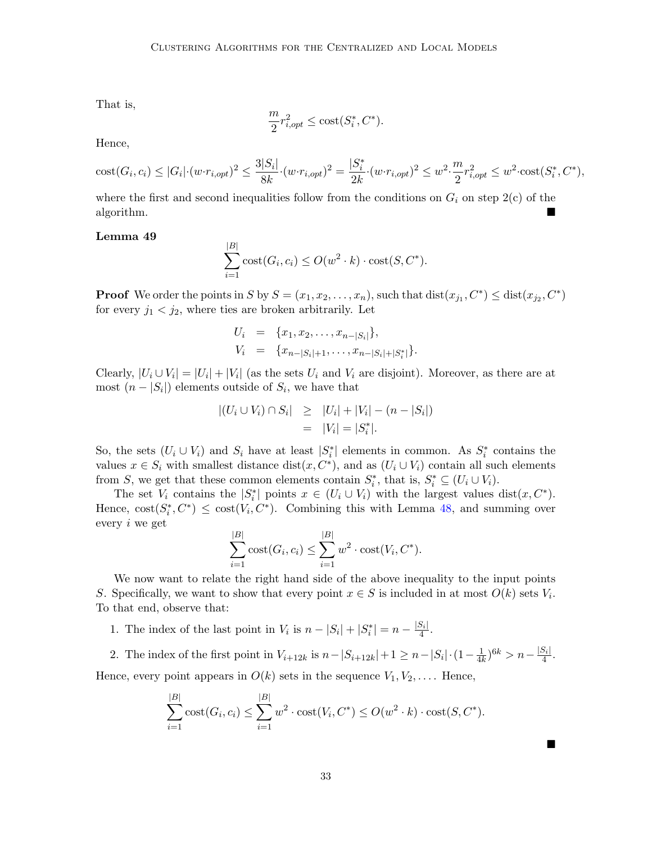That is,

$$
\frac{m}{2}r_{i,opt}^2 \le \text{cost}(S_i^*, C^*).
$$

Hence,

$$
\text{cost}(G_i, c_i) \le |G_i| \cdot (w \cdot r_{i,opt})^2 \le \frac{3|S_i|}{8k} \cdot (w \cdot r_{i,opt})^2 = \frac{|S_i^*|}{2k} \cdot (w \cdot r_{i,opt})^2 \le w^2 \cdot \frac{m}{2} r_{i,opt}^2 \le w^2 \cdot \text{cost}(S_i^*, C^*),
$$

where the first and second inequalities follow from the conditions on  $G_i$  on step 2(c) of the algorithm.

## Lemma 49

$$
\sum_{i=1}^{|B|} \text{cost}(G_i, c_i) \le O(w^2 \cdot k) \cdot \text{cost}(S, C^*).
$$

**Proof** We order the points in S by  $S = (x_1, x_2, \ldots, x_n)$ , such that  $dist(x_{j_1}, C^*) \leq dist(x_{j_2}, C^*)$ for every  $j_1 < j_2$ , where ties are broken arbitrarily. Let

$$
U_i = \{x_1, x_2, \dots, x_{n-|S_i|}\},
$$
  
\n
$$
V_i = \{x_{n-|S_i|+1}, \dots, x_{n-|S_i|+|S_i^*|}\}.
$$

Clearly,  $|U_i \cup V_i| = |U_i| + |V_i|$  (as the sets  $U_i$  and  $V_i$  are disjoint). Moreover, as there are at most  $(n - |S_i|)$  elements outside of  $S_i$ , we have that

$$
|(U_i \cup V_i) \cap S_i| \geq |U_i| + |V_i| - (n - |S_i|)
$$
  
= |V\_i| = |S\_i^\*|.

So, the sets  $(U_i \cup V_i)$  and  $S_i$  have at least  $|S_i^*|$  elements in common. As  $S_i^*$  contains the values  $x \in S_i$  with smallest distance dist $(x, C^*)$ , and as  $(U_i \cup V_i)$  contain all such elements from S, we get that these common elements contain  $S_i^*$ , that is,  $S_i^* \subseteq (U_i \cup V_i)$ .

The set  $V_i$  contains the  $|S_i^*|$  points  $x \in (U_i \cup V_i)$  with the largest values dist $(x, C^*)$ . Hence,  $\text{cost}(S_i^*, C^*) \leq \text{cost}(V_i, C^*)$ . Combining this with Lemma [48,](#page-31-1) and summing over every i we get

$$
\sum_{i=1}^{|B|} \text{cost}(G_i, c_i) \le \sum_{i=1}^{|B|} w^2 \cdot \text{cost}(V_i, C^*).
$$

We now want to relate the right hand side of the above inequality to the input points S. Specifically, we want to show that every point  $x \in S$  is included in at most  $O(k)$  sets  $V_i$ . To that end, observe that:

- 1. The index of the last point in  $V_i$  is  $n |S_i| + |S_i^*| = n \frac{|S_i|}{4}$  $\frac{5i}{4}$ .
- 2. The index of the first point in  $V_{i+12k}$  is  $n-|S_{i+12k}|+1 \geq n-|S_i| \cdot (1-\frac{1}{4k})$  $\frac{1}{4k})^{6k} > n - \frac{|S_i|}{4}$  $\frac{5i}{4}$ . Hence, every point appears in  $O(k)$  sets in the sequence  $V_1, V_2, \ldots$ . Hence,

$$
\sum_{i=1}^{|B|} \text{cost}(G_i, c_i) \le \sum_{i=1}^{|B|} w^2 \cdot \text{cost}(V_i, C^*) \le O(w^2 \cdot k) \cdot \text{cost}(S, C^*).
$$

 $\blacksquare$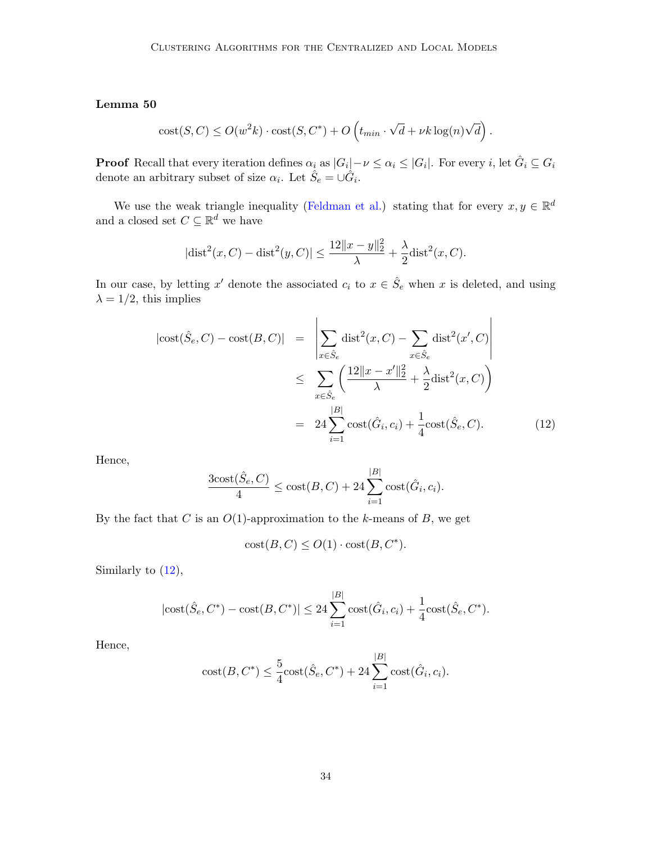## Lemma 50

$$
cost(S, C) \le O(w^{2}k) \cdot cost(S, C^{*}) + O\left(t_{min} \cdot \sqrt{d} + \nu k \log(n)\sqrt{d}\right).
$$

**Proof** Recall that every iteration defines  $\alpha_i$  as  $|G_i| - \nu \leq \alpha_i \leq |G_i|$ . For every i, let  $\hat{G}_i \subseteq G_i$ denote an arbitrary subset of size  $\alpha_i$ . Let  $\hat{S}_e = \cup \hat{G}_i$ .

We use the weak triangle inequality [\(Feldman et al.\)](#page-13-10) stating that for every  $x, y \in \mathbb{R}^d$ and a closed set  $C \subseteq \mathbb{R}^d$  we have

$$
|\text{dist}^{2}(x, C) - \text{dist}^{2}(y, C)| \le \frac{12||x - y||_{2}^{2}}{\lambda} + \frac{\lambda}{2}\text{dist}^{2}(x, C).
$$

In our case, by letting x' denote the associated  $c_i$  to  $x \in \hat{S}_e$  when x is deleted, and using  $\lambda = 1/2$ , this implies

<span id="page-33-0"></span>
$$
|\text{cost}(\hat{S}_e, C) - \text{cost}(B, C)| = \left| \sum_{x \in \hat{S}_e} \text{dist}^2(x, C) - \sum_{x \in \hat{S}_e} \text{dist}^2(x', C) \right|
$$
  

$$
\leq \sum_{x \in \hat{S}_e} \left( \frac{12||x - x'||_2^2}{\lambda} + \frac{\lambda}{2} \text{dist}^2(x, C) \right)
$$
  

$$
= 24 \sum_{i=1}^{|B|} \text{cost}(\hat{G}_i, c_i) + \frac{1}{4} \text{cost}(\hat{S}_e, C). \tag{12}
$$

Hence,

$$
\frac{3\text{cost}(\hat{S}_e, C)}{4} \le \text{cost}(B, C) + 24 \sum_{i=1}^{|B|} \text{cost}(\hat{G}_i, c_i).
$$

By the fact that  $C$  is an  $O(1)$ -approximation to the k-means of  $B$ , we get

$$
cost(B, C) \le O(1) \cdot cost(B, C^*).
$$

Similarly to [\(12\)](#page-33-0),

$$
|\text{cost}(\hat{S}_e, C^*) - \text{cost}(B, C^*)| \le 24 \sum_{i=1}^{|B|} \text{cost}(\hat{G}_i, c_i) + \frac{1}{4} \text{cost}(\hat{S}_e, C^*).
$$

Hence,

cost
$$
(B, C^*) \leq \frac{5}{4}\text{cost}(\hat{S}_e, C^*) + 24\sum_{i=1}^{|B|}\text{cost}(\hat{G}_i, c_i).
$$